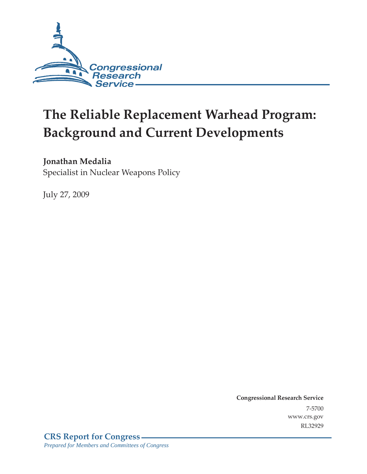

# **The Reliable Replacement Warhead Program: Background and Current Developments**

### **Jonathan Medalia**

Specialist in Nuclear Weapons Policy

July 27, 2009

**Congressional Research Service** 7-5700 www.crs.gov RL32929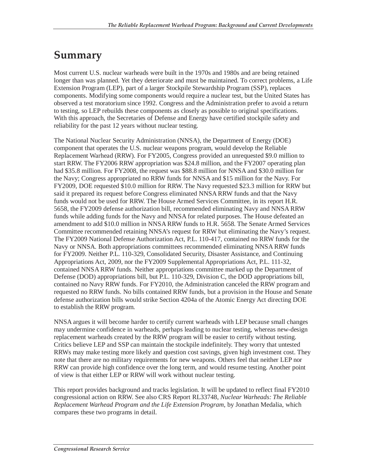### **Summary**

Most current U.S. nuclear warheads were built in the 1970s and 1980s and are being retained longer than was planned. Yet they deteriorate and must be maintained. To correct problems, a Life Extension Program (LEP), part of a larger Stockpile Stewardship Program (SSP), replaces components. Modifying some components would require a nuclear test, but the United States has observed a test moratorium since 1992. Congress and the Administration prefer to avoid a return to testing, so LEP rebuilds these components as closely as possible to original specifications. With this approach, the Secretaries of Defense and Energy have certified stockpile safety and reliability for the past 12 years without nuclear testing.

The National Nuclear Security Administration (NNSA), the Department of Energy (DOE) component that operates the U.S. nuclear weapons program, would develop the Reliable Replacement Warhead (RRW). For FY2005, Congress provided an unrequested \$9.0 million to start RRW. The FY2006 RRW appropriation was \$24.8 million, and the FY2007 operating plan had \$35.8 million. For FY2008, the request was \$88.8 million for NNSA and \$30.0 million for the Navy; Congress appropriated no RRW funds for NNSA and \$15 million for the Navy. For FY2009, DOE requested \$10.0 million for RRW. The Navy requested \$23.3 million for RRW but said it prepared its request before Congress eliminated NNSA RRW funds and that the Navy funds would not be used for RRW. The House Armed Services Committee, in its report H.R. 5658, the FY2009 defense authorization bill, recommended eliminating Navy and NNSA RRW funds while adding funds for the Navy and NNSA for related purposes. The House defeated an amendment to add \$10.0 million in NNSA RRW funds to H.R. 5658. The Senate Armed Services Committee recommended retaining NNSA's request for RRW but eliminating the Navy's request. The FY2009 National Defense Authorization Act, P.L. 110-417, contained no RRW funds for the Navy or NNSA. Both appropriations committees recommended eliminating NNSA RRW funds for FY2009. Neither P.L. 110-329, Consolidated Security, Disaster Assistance, and Continuing Appropriations Act, 2009, nor the FY2009 Supplemental Appropriations Act, P.L. 111-32, contained NNSA RRW funds. Neither appropriations committee marked up the Department of Defense (DOD) appropriations bill, but P.L. 110-329, Division C, the DOD appropriations bill, contained no Navy RRW funds. For FY2010, the Administration canceled the RRW program and requested no RRW funds. No bills contained RRW funds, but a provision in the House and Senate defense authorization bills would strike Section 4204a of the Atomic Energy Act directing DOE to establish the RRW program.

NNSA argues it will become harder to certify current warheads with LEP because small changes may undermine confidence in warheads, perhaps leading to nuclear testing, whereas new-design replacement warheads created by the RRW program will be easier to certify without testing. Critics believe LEP and SSP can maintain the stockpile indefinitely. They worry that untested RRWs may make testing more likely and question cost savings, given high investment cost. They note that there are no military requirements for new weapons. Others feel that neither LEP nor RRW can provide high confidence over the long term, and would resume testing. Another point of view is that either LEP or RRW will work without nuclear testing.

This report provides background and tracks legislation. It will be updated to reflect final FY2010 congressional action on RRW. See also CRS Report RL33748, *Nuclear Warheads: The Reliable Replacement Warhead Program and the Life Extension Program*, by Jonathan Medalia, which compares these two programs in detail.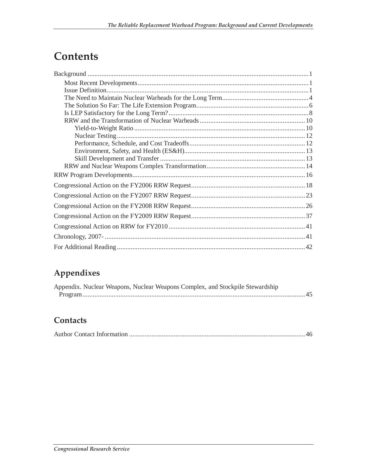## **Contents**

### **Appendixes**

| Appendix. Nuclear Weapons, Nuclear Weapons Complex, and Stockpile Stewardship |  |
|-------------------------------------------------------------------------------|--|
|                                                                               |  |

### **Contacts**

|--|--|--|--|--|--|--|--|--|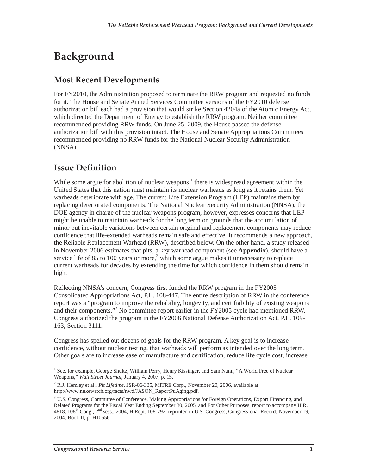## **Background**

### **Most Recent Developments**

For FY2010, the Administration proposed to terminate the RRW program and requested no funds for it. The House and Senate Armed Services Committee versions of the FY2010 defense authorization bill each had a provision that would strike Section 4204a of the Atomic Energy Act, which directed the Department of Energy to establish the RRW program. Neither committee recommended providing RRW funds. On June 25, 2009, the House passed the defense authorization bill with this provision intact. The House and Senate Appropriations Committees recommended providing no RRW funds for the National Nuclear Security Administration (NNSA).

### **Issue Definition**

While some argue for abolition of nuclear weapons, $<sup>1</sup>$  there is widespread agreement within the</sup> United States that this nation must maintain its nuclear warheads as long as it retains them. Yet warheads deteriorate with age. The current Life Extension Program (LEP) maintains them by replacing deteriorated components. The National Nuclear Security Administration (NNSA), the DOE agency in charge of the nuclear weapons program, however, expresses concerns that LEP might be unable to maintain warheads for the long term on grounds that the accumulation of minor but inevitable variations between certain original and replacement components may reduce confidence that life-extended warheads remain safe and effective. It recommends a new approach, the Reliable Replacement Warhead (RRW), described below. On the other hand, a study released in November 2006 estimates that pits, a key warhead component (see **Appendix**), should have a service life of 85 to 100 years or more,<sup>2</sup> which some argue makes it unnecessary to replace current warheads for decades by extending the time for which confidence in them should remain high.

Reflecting NNSA's concern, Congress first funded the RRW program in the FY2005 Consolidated Appropriations Act, P.L. 108-447. The entire description of RRW in the conference report was a "program to improve the reliability, longevity, and certifiability of existing weapons and their components."3 No committee report earlier in the FY2005 cycle had mentioned RRW. Congress authorized the program in the FY2006 National Defense Authorization Act, P.L. 109- 163, Section 3111.

Congress has spelled out dozens of goals for the RRW program. A key goal is to increase confidence, without nuclear testing, that warheads will perform as intended over the long term. Other goals are to increase ease of manufacture and certification, reduce life cycle cost, increase

<sup>-</sup><sup>1</sup> See, for example, George Shultz, William Perry, Henry Kissinger, and Sam Nunn, "A World Free of Nuclear Weapons," *Wall Street Journal,* January 4, 2007, p. 15.

<sup>2</sup> R.J. Hemley et al., *Pit Lifetime,* JSR-06-335, MITRE Corp., November 20, 2006, available at http://www.nukewatch.org/facts/nwd/JASON\_ReportPuAging.pdf.

<sup>&</sup>lt;sup>3</sup> U.S. Congress, Committee of Conference, Making Appropriations for Foreign Operations, Export Financing, and Related Programs for the Fiscal Year Ending September 30, 2005, and For Other Purposes, report to accompany H.R. 4818, 108<sup>th</sup> Cong., 2<sup>nd</sup> sess., 2004, H.Rept. 108-792, reprinted in U.S. Congress, Congressional Record, November 19, 2004, Book II, p. H10556.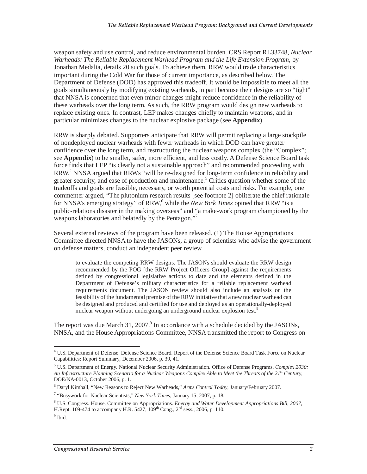weapon safety and use control, and reduce environmental burden. CRS Report RL33748, *Nuclear Warheads: The Reliable Replacement Warhead Program and the Life Extension Program*, by Jonathan Medalia, details 20 such goals. To achieve them, RRW would trade characteristics important during the Cold War for those of current importance, as described below. The Department of Defense (DOD) has approved this tradeoff. It would be impossible to meet all the goals simultaneously by modifying existing warheads, in part because their designs are so "tight" that NNSA is concerned that even minor changes might reduce confidence in the reliability of these warheads over the long term. As such, the RRW program would design new warheads to replace existing ones. In contrast, LEP makes changes chiefly to maintain weapons, and in particular minimizes changes to the nuclear explosive package (see **Appendix**).

RRW is sharply debated. Supporters anticipate that RRW will permit replacing a large stockpile of nondeployed nuclear warheads with fewer warheads in which DOD can have greater confidence over the long term, and restructuring the nuclear weapons complex (the "Complex"; see **Appendix**) to be smaller, safer, more efficient, and less costly. A Defense Science Board task force finds that LEP "is clearly not a sustainable approach" and recommended proceeding with RRW.<sup>4</sup> NNSA argued that RRWs "will be re-designed for long-term confidence in reliability and greater security, and ease of production and maintenance.<sup>5</sup> Critics question whether some of the tradeoffs and goals are feasible, necessary, or worth potential costs and risks. For example, one commenter argued, "The plutonium research results [see footnote 2] obliterate the chief rationale for NNSA's emerging strategy" of RRW,<sup>6</sup> while the *New York Times* opined that RRW "is a public-relations disaster in the making overseas" and "a make-work program championed by the weapons laboratories and belatedly by the Pentagon."<sup>7</sup>

Several external reviews of the program have been released. (1) The House Appropriations Committee directed NNSA to have the JASONs, a group of scientists who advise the government on defense matters, conduct an independent peer review

to evaluate the competing RRW designs. The JASONs should evaluate the RRW design recommended by the POG [the RRW Project Officers Group] against the requirements defined by congressional legislative actions to date and the elements defined in the Department of Defense's military characteristics for a reliable replacement warhead requirements document. The JASON review should also include an analysis on the feasibility of the fundamental premise of the RRW initiative that a new nuclear warhead can be designed and produced and certified for use and deployed as an operationally-deployed nuclear weapon without undergoing an underground nuclear explosion test.<sup>8</sup>

The report was due March 31, 2007. $^9$  In accordance with a schedule decided by the JASONs, NNSA, and the House Appropriations Committee, NNSA transmitted the report to Congress on

 $\overline{a}$ <sup>4</sup> U.S. Department of Defense. Defense Science Board. Report of the Defense Science Board Task Force on Nuclear Capabilities: Report Summary, December 2006, p. 39, 41.

<sup>5</sup> U.S. Department of Energy. National Nuclear Security Administration. Office of Defense Programs. *Complex 2030: An Infrastructure Planning Scenario for a Nuclear Weapons Complex Able to Meet the Threats of the 21st Century,* DOE/NA-0013, October 2006, p. 1.

<sup>6</sup> Daryl Kimball, "New Reasons to Reject New Warheads," *Arms Control Today,* January/February 2007.

<sup>7</sup> "Busywork for Nuclear Scientists," *New York Times,* January 15, 2007, p. 18.

<sup>8</sup> U.S. Congress. House. Committee on Appropriations. *Energy and Water Development Appropriations Bill, 2007,* H.Rept. 109-474 to accompany H.R. 5427,  $109^{th}$  Cong.,  $2^{nd}$  sess., 2006, p. 110.

 $<sup>9</sup>$  Ibid.</sup>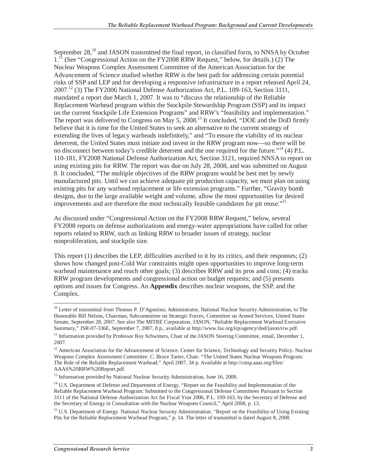September  $28$ ,<sup>10</sup> and JASON transmitted the final report, in classified form, to NNSA by October 1.<sup>11</sup> (See "Congressional Action on the FY2008 RRW Request," below, for details.) (2) The Nuclear Weapons Complex Assessment Committee of the American Association for the Advancement of Science studied whether RRW is the best path for addressing certain potential risks of SSP and LEP and for developing a responsive infrastructure in a report released April 24, 2007.12 (3) The FY2006 National Defense Authorization Act, P.L. 109-163, Section 3111, mandated a report due March 1, 2007. It was to "discuss the relationship of the Reliable Replacement Warhead program within the Stockpile Stewardship Program (SSP) and its impact on the current Stockpile Life Extension Programs" and RRW's "feasibility and implementation." The report was delivered to Congress on May 5, 2008.<sup>13</sup> It concluded, "DOE and the DoD firmly believe that it is time for the United States to seek an alternative to the current strategy of extending the lives of legacy warheads indefinitely," and "To ensure the viability of its nuclear deterrent, the United States must initiate and invest in the RRW program now—so there will be no disconnect between today's credible deterrent and the one required for the future."<sup>14</sup> (4) P.L. 110-181, FY2008 National Defense Authorization Act, Section 3121, required NNSA to report on using existing pits for RRW. The report was due on July 28, 2008, and was submitted on August 8. It concluded, "The multiple objectives of the RRW program would be best met by newly manufactured pits. Until we can achieve adequate pit production capacity, we must plan on using existing pits for any warhead replacement or life extension programs." Further, "Gravity bomb designs, due to the large available weight and volume, allow the most opportunities for desired improvements and are therefore the most technically feasible candidates for pit reuse."<sup>15</sup>

As discussed under "Congressional Action on the FY2008 RRW Request," below, several FY2008 reports on defense authorizations and energy-water appropriations have called for other reports related to RRW, such as linking RRW to broader issues of strategy, nuclear nonproliferation, and stockpile size.

This report (1) describes the LEP, difficulties ascribed to it by its critics, and their responses; (2) shows how changed post-Cold War constraints might open opportunities to improve long-term warhead maintenance and reach other goals; (3) describes RRW and its pros and cons; (4) tracks RRW program developments and congressional action on budget requests; and (5) presents options and issues for Congress. An **Appendix** describes nuclear weapons, the SSP, and the Complex.

<sup>-</sup><sup>10</sup> Letter of transmittal from Thomas P. D'Agostino, Administrator, National Nuclear Security Administration, to The Honorable Bill Nelson, Chairman, Subcommittee on Strategic Forces, Committee on Armed Services, United States Senate, September 28, 2007. See also The MITRE Corporation, JASON, "Reliable Replacement Warhead Executive Summary," JSR-07-336E, September 7, 2007, 8 p., available at http://www.fas.org/irp/agency/dod/jason/rrw.pdf.

<sup>&</sup>lt;sup>11</sup> Information provided by Professor Roy Schwitters, Chair of the JASON Steering Committee, email, December 1, 2007.

<sup>&</sup>lt;sup>12</sup> American Association for the Advancement of Science. Center for Science, Technology and Security Policy. Nuclear Weapons Complex Assessment Committee. C. Bruce Tarter, Chair. "The United States Nuclear Weapons Program: The Role of the Reliable Replacement Warhead." April 2007, 34 p. Available at http://cstsp.aaas.org/files/ AAAS%20RRW%20Report.pdf.

<sup>&</sup>lt;sup>13</sup> Information provided by National Nuclear Security Administration, June 16, 2008.

<sup>&</sup>lt;sup>14</sup> U.S. Department of Defense and Department of Energy. "Report on the Feasibility and Implementation of the Reliable Replacement Warhead Program: Submitted to the Congressional Defense Committees Pursuant to Section 3111 of the National Defense Authorization Act for Fiscal Year 2006, P.L. 109-163, by the Secretary of Defense and the Secretary of Energy in Consultation with the Nuclear Weapons Council," April 2008, p. 13.

<sup>&</sup>lt;sup>15</sup> U.S. Department of Energy. National Nuclear Security Administration. "Report on the Feasibility of Using Existing Pits for the Reliable Replacement Warhead Program," p. 14. The letter of transmittal is dated August 8, 2008.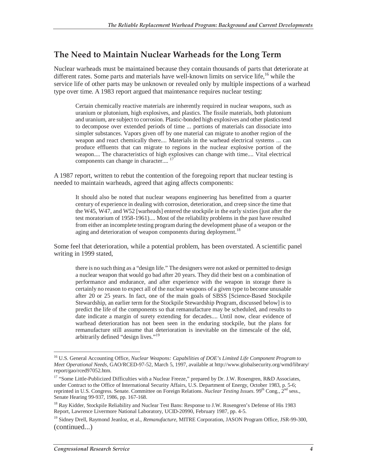### **The Need to Maintain Nuclear Warheads for the Long Term**

Nuclear warheads must be maintained because they contain thousands of parts that deteriorate at different rates. Some parts and materials have well-known limits on service life,  $^{16}$  while the service life of other parts may be unknown or revealed only by multiple inspections of a warhead type over time. A 1983 report argued that maintenance requires nuclear testing:

Certain chemically reactive materials are inherently required in nuclear weapons, such as uranium or plutonium, high explosives, and plastics. The fissile materials, both plutonium and uranium, are subject to corrosion. Plastic-bonded high explosives and other plastics tend to decompose over extended periods of time ... portions of materials can dissociate into simpler substances. Vapors given off by one material can migrate to another region of the weapon and react chemically there.... Materials in the warhead electrical systems ... can produce effluents that can migrate to regions in the nuclear explosive portion of the weapon.... The characteristics of high explosives can change with time.... Vital electrical components can change in character....

A 1987 report, written to rebut the contention of the foregoing report that nuclear testing is needed to maintain warheads, agreed that aging affects components:

It should also be noted that nuclear weapons engineering has benefitted from a quarter century of experience in dealing with corrosion, deterioration, and creep since the time that the W45, W47, and W52 [warheads] entered the stockpile in the early sixties (just after the test moratorium of 1958-1961).... Most of the reliability problems in the past have resulted from either an incomplete testing program during the development phase of a weapon or the aging and deterioration of weapon components during deployment.<sup>18</sup>

Some feel that deterioration, while a potential problem, has been overstated. A scientific panel writing in 1999 stated,

there is no such thing as a "design life." The designers were not asked or permitted to design a nuclear weapon that would go bad after 20 years. They did their best on a combination of performance and endurance, and after experience with the weapon in storage there is certainly no reason to expect all of the nuclear weapons of a given type to become unusable after 20 or 25 years. In fact, one of the main goals of SBSS [Science-Based Stockpile Stewardship, an earlier term for the Stockpile Stewardship Program, discussed below] is to predict the life of the components so that remanufacture may be scheduled, and results to date indicate a margin of surety extending for decades.... Until now, clear evidence of warhead deterioration has not been seen in the enduring stockpile, but the plans for remanufacture still assume that deterioration is inevitable on the timescale of the old, arbitrarily defined "design lives."<sup>19</sup>

<sup>&</sup>lt;sup>16</sup> U.S. General Accounting Office, *Nuclear Weapons: Capabilities of DOE's Limited Life Component Program to Meet Operational Needs,* GAO/RCED-97-52, March 5, 1997, available at http://www.globalsecurity.org/wmd/library/ report/gao/rced97052.htm.

<sup>&</sup>lt;sup>17</sup> "Some Little-Publicized Difficulties with a Nuclear Freeze," prepared by Dr. J.W. Rosengren, R&D Associates, under Contract to the Office of International Security Affairs, U.S. Department of Energy, October 1983, p. 5-6; reprinted in U.S. Congress. Senate. Committee on Foreign Relations. *Nuclear Testing Issues*. 99<sup>th</sup> Cong., 2<sup>nd</sup> sess., Senate Hearing 99-937, 1986, pp. 167-168.

<sup>&</sup>lt;sup>18</sup> Ray Kidder, Stockpile Reliability and Nuclear Test Bans: Response to J.W. Rosengren's Defense of His 1983 Report, Lawrence Livermore National Laboratory, UCID-20990, February 1987, pp. 4-5.

<sup>&</sup>lt;sup>19</sup> Sidney Drell, Raymond Jeanloz, et al., *Remanufacture*, MITRE Corporation, JASON Program Office, JSR-99-300, (continued...)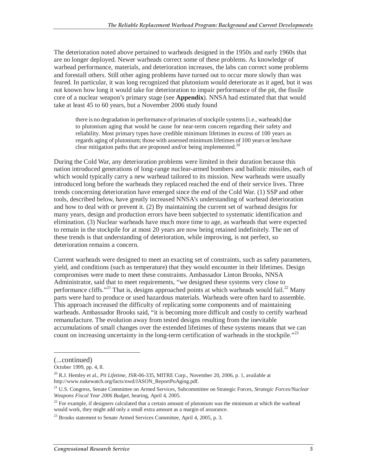The deterioration noted above pertained to warheads designed in the 1950s and early 1960s that are no longer deployed. Newer warheads correct some of these problems. As knowledge of warhead performance, materials, and deterioration increases, the labs can correct some problems and forestall others. Still other aging problems have turned out to occur more slowly than was feared. In particular, it was long recognized that plutonium would deteriorate as it aged, but it was not known how long it would take for deterioration to impair performance of the pit, the fissile core of a nuclear weapon's primary stage (see **Appendix**). NNSA had estimated that that would take at least 45 to 60 years, but a November 2006 study found

there is no degradation in performance of primaries of stockpile systems [i.e., warheads] due to plutonium aging that would be cause for near-term concern regarding their safety and reliability. Most primary types have credible minimum lifetimes in excess of 100 years as regards aging of plutonium; those with assessed minimum lifetimes of 100 years or less have clear mitigation paths that are proposed and/or being implemented.<sup>20</sup>

During the Cold War, any deterioration problems were limited in their duration because this nation introduced generations of long-range nuclear-armed bombers and ballistic missiles, each of which would typically carry a new warhead tailored to its mission. New warheads were usually introduced long before the warheads they replaced reached the end of their service lives. Three trends concerning deterioration have emerged since the end of the Cold War. (1) SSP and other tools, described below, have greatly increased NNSA's understanding of warhead deterioration and how to deal with or prevent it. (2) By maintaining the current set of warhead designs for many years, design and production errors have been subjected to systematic identification and elimination. (3) Nuclear warheads have much more time to age, as warheads that were expected to remain in the stockpile for at most 20 years are now being retained indefinitely. The net of these trends is that understanding of deterioration, while improving, is not perfect, so deterioration remains a concern.

Current warheads were designed to meet an exacting set of constraints, such as safety parameters, yield, and conditions (such as temperature) that they would encounter in their lifetimes. Design compromises were made to meet these constraints. Ambassador Linton Brooks, NNSA Administrator, said that to meet requirements, "we designed these systems very close to performance cliffs."<sup>21</sup> That is, designs approached points at which warheads would fail.<sup>22</sup> Many parts were hard to produce or used hazardous materials. Warheads were often hard to assemble. This approach increased the difficulty of replicating some components and of maintaining warheads. Ambassador Brooks said, "it is becoming more difficult and costly to certify warhead remanufacture. The evolution away from tested designs resulting from the inevitable accumulations of small changes over the extended lifetimes of these systems means that we can count on increasing uncertainty in the long-term certification of warheads in the stockpile."<sup>23</sup>

<sup>(...</sup>continued)

October 1999, pp. 4, 8.

<sup>20</sup> R.J. Hemley et al., *Pit Lifetime,* JSR-06-335, MITRE Corp., November 20, 2006, p. 1, available at http://www.nukewatch.org/facts/nwd/JASON\_ReportPuAging.pdf.

<sup>21</sup> U.S. Congress, Senate Committee on Armed Services, Subcommittee on Strategic Forces, *Strategic Forces/Nuclear Weapons Fiscal Year 2006 Budget*, hearing, April 4, 2005.

 $^{22}$  For example, if designers calculated that a certain amount of plutonium was the minimum at which the warhead would work, they might add only a small extra amount as a margin of assurance.

 $^{23}$  Brooks statement to Senate Armed Services Committee, April 4, 2005, p. 3.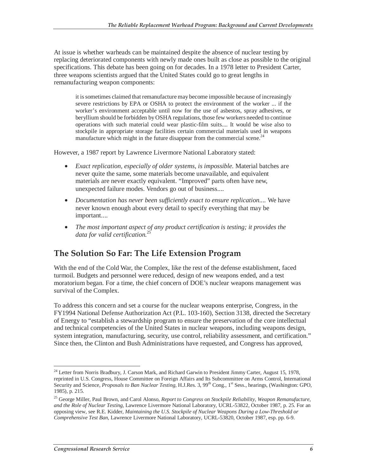At issue is whether warheads can be maintained despite the absence of nuclear testing by replacing deteriorated components with newly made ones built as close as possible to the original specifications. This debate has been going on for decades. In a 1978 letter to President Carter, three weapons scientists argued that the United States could go to great lengths in remanufacturing weapon components:

it is sometimes claimed that remanufacture may become impossible because of increasingly severe restrictions by EPA or OSHA to protect the environment of the worker ... if the worker's environment acceptable until now for the use of asbestos, spray adhesives, or beryllium should be forbidden by OSHA regulations, those few workers needed to continue operations with such material could wear plastic-film suits.... It would be wise also to stockpile in appropriate storage facilities certain commercial materials used in weapons manufacture which might in the future disappear from the commercial scene.<sup>24</sup>

However, a 1987 report by Lawrence Livermore National Laboratory stated:

- *Exact replication, especially of older systems, is impossible.* Material batches are never quite the same, some materials become unavailable, and equivalent materials are never exactly equivalent. "Improved" parts often have new, unexpected failure modes. Vendors go out of business....
- *Documentation has never been sufficiently exact to ensure replication....* We have never known enough about every detail to specify everything that may be important....
- *The most important aspect of any product certification is testing; it provides the data for valid certification.*<sup>25</sup>

### **The Solution So Far: The Life Extension Program**

With the end of the Cold War, the Complex, like the rest of the defense establishment, faced turmoil. Budgets and personnel were reduced, design of new weapons ended, and a test moratorium began. For a time, the chief concern of DOE's nuclear weapons management was survival of the Complex.

To address this concern and set a course for the nuclear weapons enterprise, Congress, in the FY1994 National Defense Authorization Act (P.L. 103-160), Section 3138, directed the Secretary of Energy to "establish a stewardship program to ensure the preservation of the core intellectual and technical competencies of the United States in nuclear weapons, including weapons design, system integration, manufacturing, security, use control, reliability assessment, and certification." Since then, the Clinton and Bush Administrations have requested, and Congress has approved,

 $\overline{a}$ <sup>24</sup> Letter from Norris Bradbury, J. Carson Mark, and Richard Garwin to President Jimmy Carter, August 15, 1978, reprinted in U.S. Congress, House Committee on Foreign Affairs and Its Subcommittee on Arms Control, International Security and Science, *Proposals to Ban Nuclear Testing*, H.J.Res. 3, 99<sup>th</sup> Cong., 1<sup>st</sup> Sess., hearings, (Washington: GPO, 1985), p. 215.

<sup>25</sup> George Miller, Paul Brown, and Carol Alonso, *Report to Congress on Stockpile Reliability, Weapon Remanufacture, and the Role of Nuclear Testing,* Lawrence Livermore National Laboratory, UCRL-53822, October 1987, p. 25. For an opposing view, see R.E. Kidder, *Maintaining the U.S. Stockpile of Nuclear Weapons During a Low-Threshold or Comprehensive Test Ban*, Lawrence Livermore National Laboratory, UCRL-53820, October 1987, esp. pp. 6-9.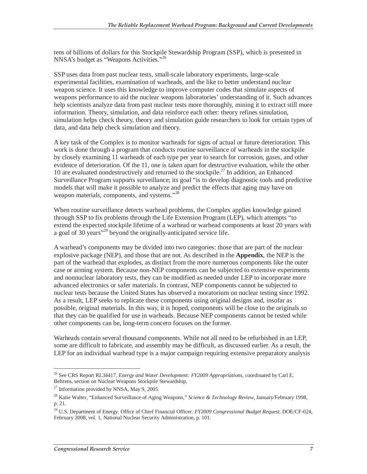tens of billions of dollars for this Stockpile Stewardship Program (SSP), which is presented in NNSA's budget as "Weapons Activities."<sup>26</sup>

SSP uses data from past nuclear tests, small-scale laboratory experiments, large-scale experimental facilities, examination of warheads, and the like to better understand nuclear weapon science. It uses this knowledge to improve computer codes that simulate aspects of weapons performance to aid the nuclear weapons laboratories' understanding of it. Such advances help scientists analyze data from past nuclear tests more thoroughly, mining it to extract still more information. Theory, simulation, and data reinforce each other: theory refines simulation, simulation helps check theory, theory and simulation guide researchers to look for certain types of data, and data help check simulation and theory.

A key task of the Complex is to monitor warheads for signs of actual or future deterioration. This work is done through a program that conducts routine surveillance of warheads in the stockpile by closely examining 11 warheads of each type per year to search for corrosion, gases, and other evidence of deterioration. Of the 11, one is taken apart for destructive evaluation, while the other 10 are evaluated nondestructively and returned to the stockpile.<sup>27</sup> In addition, an Enhanced Surveillance Program supports surveillance; its goal "is to develop diagnostic tools and predictive models that will make it possible to analyze and predict the effects that aging may have on weapon materials, components, and systems."<sup>28</sup>

When routine surveillance detects warhead problems, the Complex applies knowledge gained through SSP to fix problems through the Life Extension Program (LEP), which attempts "to extend the expected stockpile lifetime of a warhead or warhead components at least 20 years with a goal of 30 years<sup>"29</sup> beyond the originally-anticipated service life.

A warhead's components may be divided into two categories: those that are part of the nuclear explosive package (NEP), and those that are not. As described in the **Appendix**, the NEP is the part of the warhead that explodes, as distinct from the more numerous components like the outer case or arming system. Because non-NEP components can be subjected to extensive experiments and nonnuclear laboratory tests, they can be modified as needed under LEP to incorporate more advanced electronics or safer materials. In contrast, NEP components cannot be subjected to nuclear tests because the United States has observed a moratorium on nuclear testing since 1992. As a result, LEP seeks to replicate these components using original designs and, insofar as possible, original materials. In this way, it is hoped, components will be close to the originals so that they can be qualified for use in warheads. Because NEP components cannot be tested while other components can be, long-term concern focuses on the former.

Warheads contain several thousand components. While not all need to be refurbished in an LEP, some are difficult to fabricate, and assembly may be difficult, as discussed earlier. As a result, the LEP for an individual warhead type is a major campaign requiring extensive preparatory analysis

<sup>-</sup>26 See CRS Report RL34417, *Energy and Water Development: FY2009 Appropriations*, coordinated by Carl E. Behrens, section on Nuclear Weapons Stockpile Stewardship.

 $27$  Information provided by NNSA, May 9, 2005.

<sup>28</sup> Katie Walter, "Enhanced Surveillance of Aging Weapons," *Science & Technology Review*, January/February 1998, p. 21.

<sup>29</sup> U.S. Department of Energy. Office of Chief Financial Officer. *FY2009 Congressional Budget Request*, DOE/CF-024, February 2008, vol. 1, National Nuclear Security Administration, p. 101.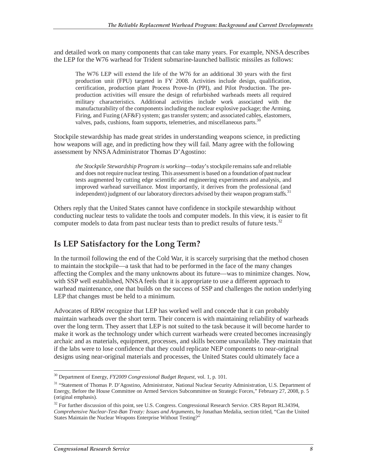and detailed work on many components that can take many years. For example, NNSA describes the LEP for the W76 warhead for Trident submarine-launched ballistic missiles as follows:

The W76 LEP will extend the life of the W76 for an additional 30 years with the first production unit (FPU) targeted in FY 2008. Activities include design, qualification, certification, production plant Process Prove-In (PPI), and Pilot Production. The preproduction activities will ensure the design of refurbished warheads meets all required military characteristics. Additional activities include work associated with the manufacturability of the components including the nuclear explosive package; the Arming, Firing, and Fuzing (AF&F) system; gas transfer system; and associated cables, elastomers, valves, pads, cushions, foam supports, telemetries, and miscellaneous parts.<sup>30</sup>

Stockpile stewardship has made great strides in understanding weapons science, in predicting how weapons will age, and in predicting how they will fail. Many agree with the following assessment by NNSA Administrator Thomas D'Agostino:

*the Stockpile Stewardship Program is working*—today's stockpile remains safe and reliable and does not require nuclear testing. This assessment is based on a foundation of past nuclear tests augmented by cutting edge scientific and engineering experiments and analysis, and improved warhead surveillance. Most importantly, it derives from the professional (and independent) judgment of our laboratory directors advised by their weapon program staffs.<sup>31</sup>

Others reply that the United States cannot have confidence in stockpile stewardship without conducting nuclear tests to validate the tools and computer models. In this view, it is easier to fit computer models to data from past nuclear tests than to predict results of future tests. $32$ 

### **Is LEP Satisfactory for the Long Term?**

In the turmoil following the end of the Cold War, it is scarcely surprising that the method chosen to maintain the stockpile—a task that had to be performed in the face of the many changes affecting the Complex and the many unknowns about its future—was to minimize changes. Now, with SSP well established, NNSA feels that it is appropriate to use a different approach to warhead maintenance, one that builds on the success of SSP and challenges the notion underlying LEP that changes must be held to a minimum.

Advocates of RRW recognize that LEP has worked well and concede that it can probably maintain warheads over the short term. Their concern is with maintaining reliability of warheads over the long term. They assert that LEP is not suited to the task because it will become harder to make it work as the technology under which current warheads were created becomes increasingly archaic and as materials, equipment, processes, and skills become unavailable. They maintain that if the labs were to lose confidence that they could replicate NEP components to near-original designs using near-original materials and processes, the United States could ultimately face a

 $\overline{a}$ 30 Department of Energy, *FY2009 Congressional Budget Request*, vol. 1, p. 101.

<sup>&</sup>lt;sup>31</sup> "Statement of Thomas P. D'Agostino, Administrator, National Nuclear Security Administration, U.S. Department of Energy, Before the House Committee on Armed Services Subcommittee on Strategic Forces," February 27, 2008, p. 5 (original emphasis).

<sup>&</sup>lt;sup>32</sup> For further discussion of this point, see U.S. Congress. Congressional Research Service. CRS Report RL34394, *Comprehensive Nuclear-Test-Ban Treaty: Issues and Arguments*, by Jonathan Medalia, section titled, "Can the United States Maintain the Nuclear Weapons Enterprise Without Testing?"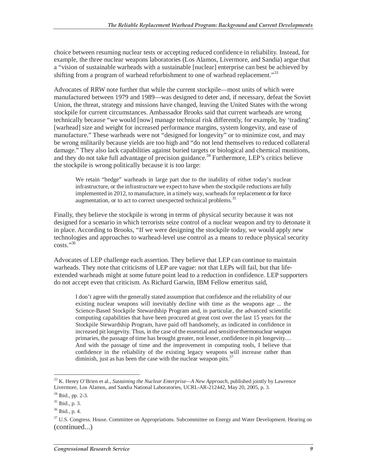choice between resuming nuclear tests or accepting reduced confidence in reliability. Instead, for example, the three nuclear weapons laboratories (Los Alamos, Livermore, and Sandia) argue that a "vision of sustainable warheads with a sustainable [nuclear] enterprise can best be achieved by shifting from a program of warhead refurbishment to one of warhead replacement."<sup>33</sup>

Advocates of RRW note further that while the current stockpile—most units of which were manufactured between 1979 and 1989—was designed to deter and, if necessary, defeat the Soviet Union, the threat, strategy and missions have changed, leaving the United States with the wrong stockpile for current circumstances. Ambassador Brooks said that current warheads are wrong technically because "we would [now] manage technical risk differently, for example, by 'trading' [warhead] size and weight for increased performance margins, system longevity, and ease of manufacture." These warheads were not "designed for longevity" or to minimize cost, and may be wrong militarily because yields are too high and "do not lend themselves to reduced collateral damage." They also lack capabilities against buried targets or biological and chemical munitions, and they do not take full advantage of precision guidance.<sup>34</sup> Furthermore, LEP's critics believe the stockpile is wrong politically because it is too large:

We retain "hedge" warheads in large part due to the inability of either today's nuclear infrastructure, or the infrastructure we expect to have when the stockpile reductions are fully implemented in 2012, to manufacture, in a timely way, warheads for replacement or for force augmentation, or to act to correct unexpected technical problems.<sup>35</sup>

Finally, they believe the stockpile is wrong in terms of physical security because it was not designed for a scenario in which terrorists seize control of a nuclear weapon and try to detonate it in place. According to Brooks, "If we were designing the stockpile today, we would apply new technologies and approaches to warhead-level use control as a means to reduce physical security  $costs.$ "<sup>36</sup>

Advocates of LEP challenge each assertion. They believe that LEP can continue to maintain warheads. They note that criticisms of LEP are vague: not that LEPs will fail, but that lifeextended warheads might at some future point lead to a reduction in confidence. LEP supporters do not accept even that criticism. As Richard Garwin, IBM Fellow emeritus said,

I don't agree with the generally stated assumption that confidence and the reliability of our existing nuclear weapons will inevitably decline with time as the weapons age ... the Science-Based Stockpile Stewardship Program and, in particular, the advanced scientific computing capabilities that have been procured at great cost over the last 15 years for the Stockpile Stewardship Program, have paid off handsomely, as indicated in confidence in increased pit longevity. Thus, in the case of the essential and sensitive thermonuclear weapon primaries, the passage of time has brought greater, not lesser, confidence in pit longevity.... And with the passage of time and the improvement in computing tools, I believe that confidence in the reliability of the existing legacy weapons will increase rather than diminish, just as has been the case with the nuclear weapon pits. $37$ 

<sup>33</sup> K. Henry O'Brien et al., *Sustaining the Nuclear Enterprise—A New Approach,* published jointly by Lawrence Livermore, Los Alamos, and Sandia National Laboratories, UCRL-AR-212442, May 20, 2005, p. 3.

 $34$  Ibid., pp. 2-3.

<sup>35</sup> Ibid., p. 3.

<sup>36</sup> Ibid., p. 4.

<sup>&</sup>lt;sup>37</sup> U.S. Congress. House. Committee on Appropriations. Subcommittee on Energy and Water Development. Hearing on (continued...)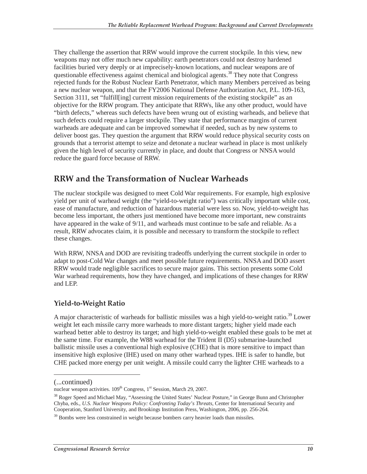They challenge the assertion that RRW would improve the current stockpile. In this view, new weapons may not offer much new capability: earth penetrators could not destroy hardened facilities buried very deeply or at imprecisely-known locations, and nuclear weapons are of questionable effectiveness against chemical and biological agents.<sup>38</sup> They note that Congress rejected funds for the Robust Nuclear Earth Penetrator, which many Members perceived as being a new nuclear weapon, and that the FY2006 National Defense Authorization Act, P.L. 109-163, Section 3111, set "fulfill[ing] current mission requirements of the existing stockpile" as an objective for the RRW program. They anticipate that RRWs, like any other product, would have "birth defects," whereas such defects have been wrung out of existing warheads, and believe that such defects could require a larger stockpile. They state that performance margins of current warheads are adequate and can be improved somewhat if needed, such as by new systems to deliver boost gas. They question the argument that RRW would reduce physical security costs on grounds that a terrorist attempt to seize and detonate a nuclear warhead in place is most unlikely given the high level of security currently in place, and doubt that Congress or NNSA would reduce the guard force because of RRW.

### **RRW and the Transformation of Nuclear Warheads**

The nuclear stockpile was designed to meet Cold War requirements. For example, high explosive yield per unit of warhead weight (the "yield-to-weight ratio") was critically important while cost, ease of manufacture, and reduction of hazardous material were less so. Now, yield-to-weight has become less important, the others just mentioned have become more important, new constraints have appeared in the wake of 9/11, and warheads must continue to be safe and reliable. As a result, RRW advocates claim, it is possible and necessary to transform the stockpile to reflect these changes.

With RRW, NNSA and DOD are revisiting tradeoffs underlying the current stockpile in order to adapt to post-Cold War changes and meet possible future requirements. NNSA and DOD assert RRW would trade negligible sacrifices to secure major gains. This section presents some Cold War warhead requirements, how they have changed, and implications of these changes for RRW and LEP.

#### **Yield-to-Weight Ratio**

A major characteristic of warheads for ballistic missiles was a high yield-to-weight ratio.<sup>39</sup> Lower weight let each missile carry more warheads to more distant targets; higher yield made each warhead better able to destroy its target; and high yield-to-weight enabled these goals to be met at the same time. For example, the W88 warhead for the Trident II (D5) submarine-launched ballistic missile uses a conventional high explosive (CHE) that is more sensitive to impact than insensitive high explosive (IHE) used on many other warhead types. IHE is safer to handle, but CHE packed more energy per unit weight. A missile could carry the lighter CHE warheads to a

<sup>(...</sup>continued)

nuclear weapon activities.  $109<sup>th</sup>$  Congress,  $1<sup>st</sup>$  Session, March 29, 2007.

<sup>&</sup>lt;sup>38</sup> Roger Speed and Michael May, "Assessing the United States' Nuclear Posture," in George Bunn and Christopher Chyba, eds., *U.S. Nuclear Weapons Policy: Confronting Today's Threats,* Center for International Security and Cooperation, Stanford University, and Brookings Institution Press, Washington, 2006, pp. 256-264.

<sup>&</sup>lt;sup>39</sup> Bombs were less constrained in weight because bombers carry heavier loads than missiles.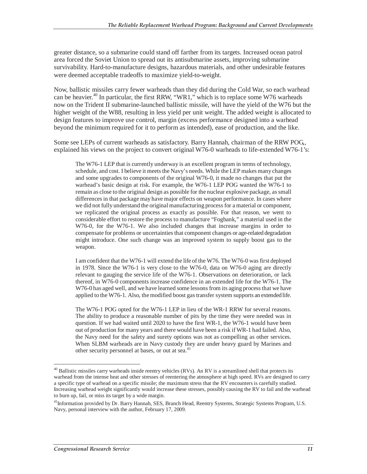greater distance, so a submarine could stand off farther from its targets. Increased ocean patrol area forced the Soviet Union to spread out its antisubmarine assets, improving submarine survivability. Hard-to-manufacture designs, hazardous materials, and other undesirable features were deemed acceptable tradeoffs to maximize yield-to-weight.

Now, ballistic missiles carry fewer warheads than they did during the Cold War, so each warhead can be heavier.<sup>40</sup> In particular, the first RRW, "WR1," which is to replace some W76 warheads now on the Trident II submarine-launched ballistic missile, will have the yield of the W76 but the higher weight of the W88, resulting in less yield per unit weight. The added weight is allocated to design features to improve use control, margin (excess performance designed into a warhead beyond the minimum required for it to perform as intended), ease of production, and the like.

Some see LEPs of current warheads as satisfactory. Barry Hannah, chairman of the RRW POG,, explained his views on the project to convert original W76-0 warheads to life-extended W76-1's:

The W76-1 LEP that is currently underway is an excellent program in terms of technology, schedule, and cost. I believe it meets the Navy's needs. While the LEP makes many changes and some upgrades to components of the original W76-0, it made no changes that put the warhead's basic design at risk. For example, the W76-1 LEP POG wanted the W76-1 to remain as close to the original design as possible for the nuclear explosive package, as small differences in that package may have major effects on weapon performance. In cases where we did not fully understand the original manufacturing process for a material or component, we replicated the original process as exactly as possible. For that reason, we went to considerable effort to restore the process to manufacture "Fogbank," a material used in the W76-0, for the W76-1. We also included changes that increase margins in order to compensate for problems or uncertainties that component changes or age-related degradation might introduce. One such change was an improved system to supply boost gas to the weapon.

I am confident that the W76-1 will extend the life of the W76. The W76-0 was first deployed in 1978. Since the W76-1 is very close to the W76-0, data on W76-0 aging are directly relevant to gauging the service life of the W76-1. Observations on deterioration, or lack thereof, in W76-0 components increase confidence in an extended life for the W76-1. The W76-0 has aged well, and we have learned some lessons from its aging process that we have applied to the W76-1. Also, the modified boost gas transfer system supports an extended life.

The W76-1 POG opted for the W76-1 LEP in lieu of the WR-1 RRW for several reasons. The ability to produce a reasonable number of pits by the time they were needed was in question. If we had waited until 2020 to have the first WR-1, the W76-1 would have been out of production for many years and there would have been a risk if WR-1 had failed. Also, the Navy need for the safety and surety options was not as compelling as other services. When SLBM warheads are in Navy custody they are under heavy guard by Marines and other security personnel at bases, or out at sea.<sup>41</sup>

<sup>-</sup> $^{40}$  Ballistic missiles carry warheads inside reentry vehicles (RVs). An RV is a streamlined shell that protects its warhead from the intense heat and other stresses of reentering the atmosphere at high speed. RVs are designed to carry a specific type of warhead on a specific missile; the maximum stress that the RV encounters is carefully studied. Increasing warhead weight significantly would increase these stresses, possibly causing the RV to fail and the warhead to burn up, fail, or miss its target by a wide margin.

<sup>&</sup>lt;sup>41</sup>Information provided by Dr. Barry Hannah, SES, Branch Head, Reentry Systems, Strategic Systems Program, U.S. Navy, personal interview with the author, February 17, 2009.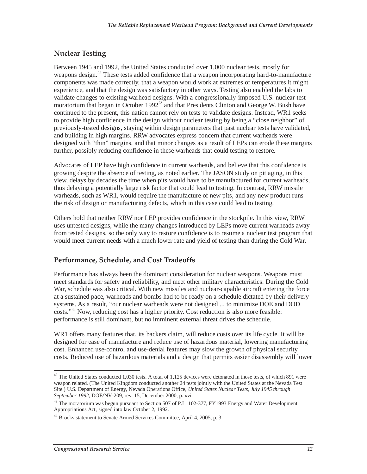#### **Nuclear Testing**

Between 1945 and 1992, the United States conducted over 1,000 nuclear tests, mostly for weapons design.<sup>42</sup> These tests added confidence that a weapon incorporating hard-to-manufacture components was made correctly, that a weapon would work at extremes of temperatures it might experience, and that the design was satisfactory in other ways. Testing also enabled the labs to validate changes to existing warhead designs. With a congressionally-imposed U.S. nuclear test moratorium that began in October 1992<sup>43</sup> and that Presidents Clinton and George W. Bush have continued to the present, this nation cannot rely on tests to validate designs. Instead, WR1 seeks to provide high confidence in the design without nuclear testing by being a "close neighbor" of previously-tested designs, staying within design parameters that past nuclear tests have validated, and building in high margins. RRW advocates express concern that current warheads were designed with "thin" margins, and that minor changes as a result of LEPs can erode these margins further, possibly reducing confidence in these warheads that could testing to restore.

Advocates of LEP have high confidence in current warheads, and believe that this confidence is growing despite the absence of testing, as noted earlier. The JASON study on pit aging, in this view, delays by decades the time when pits would have to be manufactured for current warheads, thus delaying a potentially large risk factor that could lead to testing. In contrast, RRW missile warheads, such as WR1, would require the manufacture of new pits, and any new product runs the risk of design or manufacturing defects, which in this case could lead to testing.

Others hold that neither RRW nor LEP provides confidence in the stockpile. In this view, RRW uses untested designs, while the many changes introduced by LEPs move current warheads away from tested designs, so the only way to restore confidence is to resume a nuclear test program that would meet current needs with a much lower rate and yield of testing than during the Cold War.

#### **Performance, Schedule, and Cost Tradeoffs**

Performance has always been the dominant consideration for nuclear weapons. Weapons must meet standards for safety and reliability, and meet other military characteristics. During the Cold War, schedule was also critical. With new missiles and nuclear-capable aircraft entering the force at a sustained pace, warheads and bombs had to be ready on a schedule dictated by their delivery systems. As a result, "our nuclear warheads were not designed ... to minimize DOE and DOD costs."44 Now, reducing cost has a higher priority. Cost reduction is also more feasible: performance is still dominant, but no imminent external threat drives the schedule.

WR1 offers many features that, its backers claim, will reduce costs over its life cycle. It will be designed for ease of manufacture and reduce use of hazardous material, lowering manufacturing cost. Enhanced use-control and use-denial features may slow the growth of physical security costs. Reduced use of hazardous materials and a design that permits easier disassembly will lower

 $\overline{a}$  $42$  The United States conducted 1,030 tests. A total of 1,125 devices were detonated in those tests, of which 891 were weapon related. (The United Kingdom conducted another 24 tests jointly with the United States at the Nevada Test Site.) U.S. Department of Energy, Nevada Operations Office, *United States Nuclear Tests, July 1945 through September 1992*, DOE/NV-209, rev. 15, December 2000, p. xvi.

<sup>&</sup>lt;sup>43</sup> The moratorium was begun pursuant to Section 507 of P.L. 102-377, FY1993 Energy and Water Development Appropriations Act, signed into law October 2, 1992.

<sup>44</sup> Brooks statement to Senate Armed Services Committee, April 4, 2005, p. 3.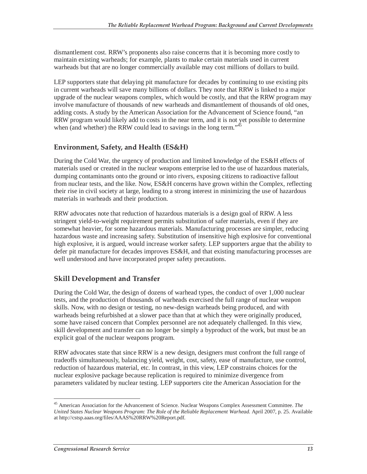dismantlement cost. RRW's proponents also raise concerns that it is becoming more costly to maintain existing warheads; for example, plants to make certain materials used in current warheads but that are no longer commercially available may cost millions of dollars to build.

LEP supporters state that delaying pit manufacture for decades by continuing to use existing pits in current warheads will save many billions of dollars. They note that RRW is linked to a major upgrade of the nuclear weapons complex, which would be costly, and that the RRW program may involve manufacture of thousands of new warheads and dismantlement of thousands of old ones, adding costs. A study by the American Association for the Advancement of Science found, "an RRW program would likely add to costs in the near term, and it is not yet possible to determine when (and whether) the RRW could lead to savings in the long term."<sup>45</sup>

#### **Environment, Safety, and Health (ES&H)**

During the Cold War, the urgency of production and limited knowledge of the ES&H effects of materials used or created in the nuclear weapons enterprise led to the use of hazardous materials, dumping contaminants onto the ground or into rivers, exposing citizens to radioactive fallout from nuclear tests, and the like. Now, ES&H concerns have grown within the Complex, reflecting their rise in civil society at large, leading to a strong interest in minimizing the use of hazardous materials in warheads and their production.

RRW advocates note that reduction of hazardous materials is a design goal of RRW. A less stringent yield-to-weight requirement permits substitution of safer materials, even if they are somewhat heavier, for some hazardous materials. Manufacturing processes are simpler, reducing hazardous waste and increasing safety. Substitution of insensitive high explosive for conventional high explosive, it is argued, would increase worker safety. LEP supporters argue that the ability to defer pit manufacture for decades improves ES&H, and that existing manufacturing processes are well understood and have incorporated proper safety precautions.

#### **Skill Development and Transfer**

During the Cold War, the design of dozens of warhead types, the conduct of over 1,000 nuclear tests, and the production of thousands of warheads exercised the full range of nuclear weapon skills. Now, with no design or testing, no new-design warheads being produced, and with warheads being refurbished at a slower pace than that at which they were originally produced, some have raised concern that Complex personnel are not adequately challenged. In this view, skill development and transfer can no longer be simply a byproduct of the work, but must be an explicit goal of the nuclear weapons program.

RRW advocates state that since RRW is a new design, designers must confront the full range of tradeoffs simultaneously, balancing yield, weight, cost, safety, ease of manufacture, use control, reduction of hazardous material, etc. In contrast, in this view, LEP constrains choices for the nuclear explosive package because replication is required to minimize divergence from parameters validated by nuclear testing. LEP supporters cite the American Association for the

 $\overline{a}$ 45 American Association for the Advancement of Science. Nuclear Weapons Complex Assessment Committee. *The United States Nuclear Weapons Program: The Role of the Reliable Replacement Warhead.* April 2007, p. 25. Available at http://cstsp.aaas.org/files/AAAS%20RRW%20Report.pdf.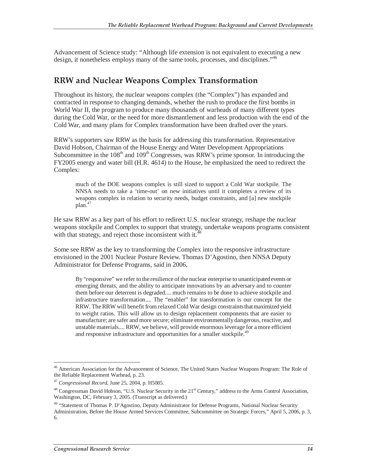Advancement of Science study: "Although life extension is not equivalent to executing a new design, it nonetheless employs many of the same tools, processes, and disciplines."<sup>46</sup>

### **RRW and Nuclear Weapons Complex Transformation**

Throughout its history, the nuclear weapons complex (the "Complex") has expanded and contracted in response to changing demands, whether the rush to produce the first bombs in World War II, the program to produce many thousands of warheads of many different types during the Cold War, or the need for more dismantlement and less production with the end of the Cold War, and many plans for Complex transformation have been drafted over the years.

RRW's supporters saw RRW as the basis for addressing this transformation. Representative David Hobson, Chairman of the House Energy and Water Development Appropriations Subcommittee in the  $108<sup>th</sup>$  and  $109<sup>th</sup>$  Congresses, was RRW's prime sponsor. In introducing the FY2005 energy and water bill (H.R. 4614) to the House, he emphasized the need to redirect the Complex:

much of the DOE weapons complex is still sized to support a Cold War stockpile. The NNSA needs to take a 'time-out' on new initiatives until it completes a review of its weapons complex in relation to security needs, budget constraints, and [a] new stockpile plan.<sup>47</sup>

He saw RRW as a key part of his effort to redirect U.S. nuclear strategy, reshape the nuclear weapons stockpile and Complex to support that strategy, undertake weapons programs consistent with that strategy, and reject those inconsistent with it.<sup>4</sup>

Some see RRW as the key to transforming the Complex into the responsive infrastructure envisioned in the 2001 Nuclear Posture Review. Thomas D'Agostino, then NNSA Deputy Administrator for Defense Programs, said in 2006,

By "responsive" we refer to the resilience of the nuclear enterprise to unanticipated events or emerging threats, and the ability to anticipate innovations by an adversary and to counter them before our deterrent is degraded.... much remains to be done to achieve stockpile and infrastructure transformation.... The "enabler" for transformation is our concept for the RRW. The RRW will benefit from relaxed Cold War design constraints that maximized yield to weight ratios. This will allow us to design replacement components that are easier to manufacture; are safer and more secure; eliminate environmentally dangerous, reactive, and unstable materials.... RRW, we believe, will provide enormous leverage for a more efficient and responsive infrastructure and opportunities for a smaller stockpile.<sup>49</sup>

 $\overline{a}$ 

<sup>&</sup>lt;sup>46</sup> American Association for the Advancement of Science, The United States Nuclear Weapons Program: The Role of the Reliable Replacement Warhead, p. 23.

<sup>47</sup> *Congressional Record*, June 25, 2004, p. H5085.

<sup>&</sup>lt;sup>48</sup> Congressman David Hobson, "U.S. Nuclear Security in the 21<sup>st</sup> Century," address to the Arms Control Association, Washington, DC, February 3, 2005. (Transcript as delivered.)

<sup>&</sup>lt;sup>49</sup> "Statement of Thomas P. D'Agostino, Deputy Administrator for Defense Programs, National Nuclear Security Administration, Before the House Armed Services Committee, Subcommittee on Strategic Forces," April 5, 2006, p. 3, 6.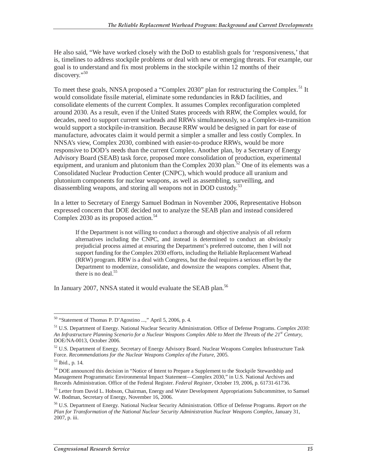He also said, "We have worked closely with the DoD to establish goals for 'responsiveness,' that is, timelines to address stockpile problems or deal with new or emerging threats. For example, our goal is to understand and fix most problems in the stockpile within 12 months of their discovery."<sup>50</sup>

To meet these goals, NNSA proposed a "Complex 2030" plan for restructuring the Complex.<sup>51</sup> It would consolidate fissile material, eliminate some redundancies in R&D facilities, and consolidate elements of the current Complex. It assumes Complex reconfiguration completed around 2030. As a result, even if the United States proceeds with RRW, the Complex would, for decades, need to support current warheads and RRWs simultaneously, so a Complex-in-transition would support a stockpile-in-transition. Because RRW would be designed in part for ease of manufacture, advocates claim it would permit a simpler a smaller and less costly Complex. In NNSA's view, Complex 2030, combined with easier-to-produce RRWs, would be more responsive to DOD's needs than the current Complex. Another plan, by a Secretary of Energy Advisory Board (SEAB) task force, proposed more consolidation of production, experimental equipment, and uranium and plutonium than the Complex 2030 plan.<sup>52</sup> One of its elements was a Consolidated Nuclear Production Center (CNPC), which would produce all uranium and plutonium components for nuclear weapons, as well as assembling, surveilling, and disassembling weapons, and storing all weapons not in DOD custody.<sup>53</sup>

In a letter to Secretary of Energy Samuel Bodman in November 2006, Representative Hobson expressed concern that DOE decided not to analyze the SEAB plan and instead considered Complex 2030 as its proposed action.<sup>54</sup>

If the Department is not willing to conduct a thorough and objective analysis of all reform alternatives including the CNPC, and instead is determined to conduct an obviously prejudicial process aimed at ensuring the Department's preferred outcome, then I will not support funding for the Complex 2030 efforts, including the Reliable Replacement Warhead (RRW) program. RRW is a deal with Congress, but the deal requires a serious effort by the Department to modernize, consolidate, and downsize the weapons complex. Absent that, there is no deal. $55$ 

In January 2007, NNSA stated it would evaluate the SEAB plan.<sup>56</sup>

 $\overline{a}$ <sup>50</sup> "Statement of Thomas P. D'Agostino ...," April 5, 2006, p. 4.

<sup>51</sup> U.S. Department of Energy. National Nuclear Security Administration. Office of Defense Programs. *Complex 2030: An Infrastructure Planning Scenario for a Nuclear Weapons Complex Able to Meet the Threats of the 21st Century,* DOE/NA-0013, October 2006.

<sup>52</sup> U.S. Department of Energy. Secretary of Energy Advisory Board. Nuclear Weapons Complex Infrastructure Task Force. *Recommendations for the Nuclear Weapons Complex of the Future,* 2005. 53 Ibid., p. 14.

<sup>54</sup> DOE announced this decision in "Notice of Intent to Prepare a Supplement to the Stockpile Stewardship and Management Programmatic Environmental Impact Statement—Complex 2030," in U.S. National Archives and Records Administration. Office of the Federal Register. *Federal Register,* October 19, 2006, p. 61731-61736.

<sup>&</sup>lt;sup>55</sup> Letter from David L. Hobson, Chairman, Energy and Water Development Appropriations Subcommittee, to Samuel W. Bodman, Secretary of Energy, November 16, 2006.

<sup>56</sup> U.S. Department of Energy. National Nuclear Security Administration. Office of Defense Programs. *Report on the Plan for Transformation of the National Nuclear Security Administration Nuclear Weapons Complex,* January 31, 2007, p. iii.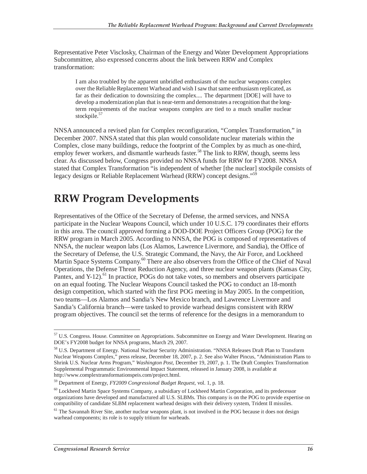Representative Peter Visclosky, Chairman of the Energy and Water Development Appropriations Subcommittee, also expressed concerns about the link between RRW and Complex transformation:

I am also troubled by the apparent unbridled enthusiasm of the nuclear weapons complex over the Reliable Replacement Warhead and wish I saw that same enthusiasm replicated, as far as their dedication to downsizing the complex.... The department [DOE] will have to develop a modernization plan that is near-term and demonstrates a recognition that the longterm requirements of the nuclear weapons complex are tied to a much smaller nuclear stockpile.<sup>57</sup>

NNSA announced a revised plan for Complex reconfiguration, "Complex Transformation," in December 2007. NNSA stated that this plan would consolidate nuclear materials within the Complex, close many buildings, reduce the footprint of the Complex by as much as one-third, employ fewer workers, and dismantle warheads faster.<sup>58</sup> The link to RRW, though, seems less clear. As discussed below, Congress provided no NNSA funds for RRW for FY2008. NNSA stated that Complex Transformation "is independent of whether [the nuclear] stockpile consists of legacy designs or Reliable Replacement Warhead (RRW) concept designs."<sup>59</sup>

## **RRW Program Developments**

Representatives of the Office of the Secretary of Defense, the armed services, and NNSA participate in the Nuclear Weapons Council, which under 10 U.S.C. 179 coordinates their efforts in this area. The council approved forming a DOD-DOE Project Officers Group (POG) for the RRW program in March 2005. According to NNSA, the POG is composed of representatives of NNSA, the nuclear weapon labs (Los Alamos, Lawrence Livermore, and Sandia), the Office of the Secretary of Defense, the U.S. Strategic Command, the Navy, the Air Force, and Lockheed Martin Space Systems Company.<sup>60</sup> There are also observers from the Office of the Chief of Naval Operations, the Defense Threat Reduction Agency, and three nuclear weapon plants (Kansas City, Pantex, and Y-12).<sup>61</sup> In practice, POGs do not take votes, so members and observers participate on an equal footing. The Nuclear Weapons Council tasked the POG to conduct an 18-month design competition, which started with the first POG meeting in May 2005. In the competition, two teams—Los Alamos and Sandia's New Mexico branch, and Lawrence Livermore and Sandia's California branch—were tasked to provide warhead designs consistent with RRW program objectives. The council set the terms of reference for the designs in a memorandum to

<sup>-</sup><sup>57</sup> U.S. Congress. House. Committee on Appropriations. Subcommittee on Energy and Water Development. Hearing on DOE's FY2008 budget for NNSA programs, March 29, 2007.

<sup>58</sup> U.S. Department of Energy. National Nuclear Security Administration. "NNSA Releases Draft Plan to Transform Nuclear Weapons Complex," press release, December 18, 2007, p. 2. See also Walter Pincus, "Administration Plans to Shrink U.S. Nuclear Arms Program," *Washington Post,* December 19, 2007, p. 1. The Draft Complex Transformation Supplemental Programmatic Environmental Impact Statement, released in January 2008, is available at http://www.complextransformationspeis.com/project.html.

<sup>59</sup> Department of Energy, *FY2009 Congressional Budget Request,* vol. 1, p. 18.

<sup>&</sup>lt;sup>60</sup> Lockheed Martin Space Systems Company, a subsidiary of Lockheed Martin Corporation, and its predecessor organizations have developed and manufactured all U.S. SLBMs. This company is on the POG to provide expertise on compatibility of candidate SLBM replacement warhead designs with their delivery system, Trident II missiles.

 $<sup>61</sup>$  The Savannah River Site, another nuclear weapons plant, is not involved in the POG because it does not design</sup> warhead components; its role is to supply tritium for warheads.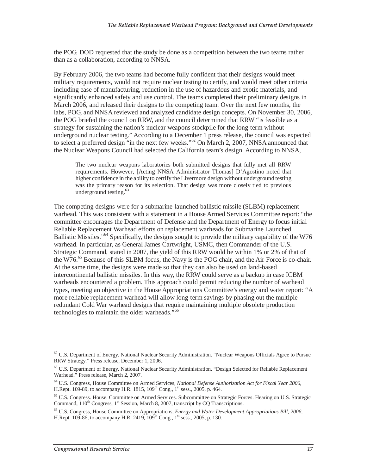the POG. DOD requested that the study be done as a competition between the two teams rather than as a collaboration, according to NNSA.

By February 2006, the two teams had become fully confident that their designs would meet military requirements, would not require nuclear testing to certify, and would meet other criteria including ease of manufacturing, reduction in the use of hazardous and exotic materials, and significantly enhanced safety and use control. The teams completed their preliminary designs in March 2006, and released their designs to the competing team. Over the next few months, the labs, POG, and NNSA reviewed and analyzed candidate design concepts. On November 30, 2006, the POG briefed the council on RRW, and the council determined that RRW "is feasible as a strategy for sustaining the nation's nuclear weapons stockpile for the long-term without underground nuclear testing." According to a December 1 press release, the council was expected to select a preferred design "in the next few weeks."<sup>62</sup> On March 2, 2007, NNSA announced that the Nuclear Weapons Council had selected the California team's design. According to NNSA,

The two nuclear weapons laboratories both submitted designs that fully met all RRW requirements. However, [Acting NNSA Administrator Thomas] D'Agostino noted that higher confidence in the ability to certify the Livermore design without underground testing was the primary reason for its selection. That design was more closely tied to previous underground testing. $63$ 

The competing designs were for a submarine-launched ballistic missile (SLBM) replacement warhead. This was consistent with a statement in a House Armed Services Committee report: "the committee encourages the Department of Defense and the Department of Energy to focus initial Reliable Replacement Warhead efforts on replacement warheads for Submarine Launched Ballistic Missiles."<sup>64</sup> Specifically, the designs sought to provide the military capability of the W76 warhead. In particular, as General James Cartwright, USMC, then Commander of the U.S. Strategic Command, stated in 2007, the yield of this RRW would be within 1% or 2% of that of the W76.<sup>65</sup> Because of this SLBM focus, the Navy is the POG chair, and the Air Force is co-chair. At the same time, the designs were made so that they can also be used on land-based intercontinental ballistic missiles. In this way, the RRW could serve as a backup in case ICBM warheads encountered a problem. This approach could permit reducing the number of warhead types, meeting an objective in the House Appropriations Committee's energy and water report: "A more reliable replacement warhead will allow long-term savings by phasing out the multiple redundant Cold War warhead designs that require maintaining multiple obsolete production technologies to maintain the older warheads."<sup>66</sup>

<sup>&</sup>lt;sup>62</sup> U.S. Department of Energy. National Nuclear Security Administration. "Nuclear Weapons Officials Agree to Pursue RRW Strategy." Press release, December 1, 2006.

<sup>&</sup>lt;sup>63</sup> U.S. Department of Energy. National Nuclear Security Administration. "Design Selected for Reliable Replacement Warhead." Press release, March 2, 2007.

<sup>64</sup> U.S. Congress, House Committee on Armed Services, *National Defense Authorization Act for Fiscal Year 2006,* H.Rept. 109-89, to accompany H.R. 1815,  $109^{th}$  Cong., 1<sup>st</sup> sess., 2005, p. 464.

<sup>65</sup> U.S. Congress. House. Committee on Armed Services. Subcommittee on Strategic Forces. Hearing on U.S. Strategic Command,  $110^{th}$  Congress,  $1^{st}$  Session, March 8, 2007, transcript by CQ Transcriptions.

<sup>66</sup> U.S. Congress, House Committee on Appropriations, *Energy and Water Development Appropriations Bill, 2006,* H.Rept. 109-86, to accompany H.R. 2419,  $109^{th}$  Cong., 1<sup>st</sup> sess., 2005, p. 130.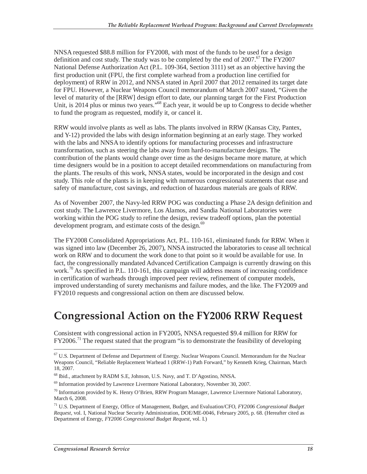NNSA requested \$88.8 million for FY2008, with most of the funds to be used for a design definition and cost study. The study was to be completed by the end of  $2007$ .<sup>67</sup> The FY2007 National Defense Authorization Act (P.L. 109-364, Section 3111) set as an objective having the first production unit (FPU, the first complete warhead from a production line certified for deployment) of RRW in 2012, and NNSA stated in April 2007 that 2012 remained its target date for FPU. However, a Nuclear Weapons Council memorandum of March 2007 stated, "Given the level of maturity of the [RRW] design effort to date, our planning target for the First Production Unit, is 2014 plus or minus two years."<sup>68</sup> Each year, it would be up to Congress to decide whether to fund the program as requested, modify it, or cancel it.

RRW would involve plants as well as labs. The plants involved in RRW (Kansas City, Pantex, and Y-12) provided the labs with design information beginning at an early stage. They worked with the labs and NNSA to identify options for manufacturing processes and infrastructure transformation, such as steering the labs away from hard-to-manufacture designs. The contribution of the plants would change over time as the designs became more mature, at which time designers would be in a position to accept detailed recommendations on manufacturing from the plants. The results of this work, NNSA states, would be incorporated in the design and cost study. This role of the plants is in keeping with numerous congressional statements that ease and safety of manufacture, cost savings, and reduction of hazardous materials are goals of RRW.

As of November 2007, the Navy-led RRW POG was conducting a Phase 2A design definition and cost study. The Lawrence Livermore, Los Alamos, and Sandia National Laboratories were working within the POG study to refine the design, review tradeoff options, plan the potential development program, and estimate costs of the design.<sup>69</sup>

The FY2008 Consolidated Appropriations Act, P.L. 110-161, eliminated funds for RRW. When it was signed into law (December 26, 2007), NNSA instructed the laboratories to cease all technical work on RRW and to document the work done to that point so it would be available for use. In fact, the congressionally mandated Advanced Certification Campaign is currently drawing on this work.<sup>70</sup> As specified in P.L. 110-161, this campaign will address means of increasing confidence in certification of warheads through improved peer review, refinement of computer models, improved understanding of surety mechanisms and failure modes, and the like. The FY2009 and FY2010 requests and congressional action on them are discussed below.

## **Congressional Action on the FY2006 RRW Request**

Consistent with congressional action in FY2005, NNSA requested \$9.4 million for RRW for  $FY2006<sup>71</sup>$  The request stated that the program "is to demonstrate the feasibility of developing

<sup>-</sup><sup>67</sup> U.S. Department of Defense and Department of Energy. Nuclear Weapons Council. Memorandum for the Nuclear Weapons Council, "Reliable Replacement Warhead 1 (RRW-1) Path Forward," by Kenneth Krieg, Chairman, March 18, 2007.

<sup>68</sup> Ibid., attachment by RADM S.E, Johnson, U.S. Navy, and T. D'Agostino, NNSA.

 $69$  Information provided by Lawrence Livermore National Laboratory, November 30, 2007.

 $^{70}$  Information provided by K. Henry O'Brien, RRW Program Manager, Lawrence Livermore National Laboratory, March 6, 2008.

<sup>71</sup> U.S. Department of Energy, Office of Management, Budget, and Evaluation/CFO, *FY2006 Congressional Budget Request*, vol. I, National Nuclear Security Administration, DOE/ME-0046, February 2005, p. 68. (Hereafter cited as Department of Energy, *FY2006 Congressional Budget Request*, vol. I.)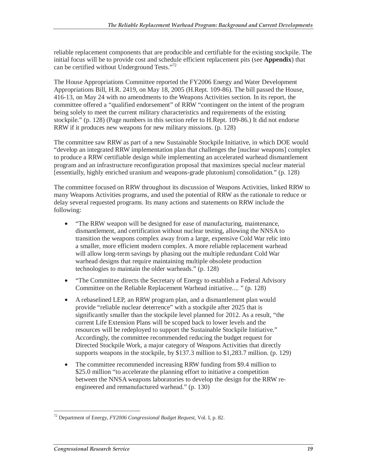reliable replacement components that are producible and certifiable for the existing stockpile. The initial focus will be to provide cost and schedule efficient replacement pits (see **Appendix**) that can be certified without Underground Tests."<sup>72</sup>

The House Appropriations Committee reported the FY2006 Energy and Water Development Appropriations Bill, H.R. 2419, on May 18, 2005 (H.Rept. 109-86). The bill passed the House, 416-13, on May 24 with no amendments to the Weapons Activities section. In its report, the committee offered a "qualified endorsement" of RRW "contingent on the intent of the program being solely to meet the current military characteristics and requirements of the existing stockpile." (p. 128) (Page numbers in this section refer to H.Rept. 109-86.) It did not endorse RRW if it produces new weapons for new military missions. (p. 128)

The committee saw RRW as part of a new Sustainable Stockpile Initiative, in which DOE would "develop an integrated RRW implementation plan that challenges the [nuclear weapons] complex to produce a RRW certifiable design while implementing an accelerated warhead dismantlement program and an infrastructure reconfiguration proposal that maximizes special nuclear material [essentially, highly enriched uranium and weapons-grade plutonium] consolidation." (p. 128)

The committee focused on RRW throughout its discussion of Weapons Activities, linked RRW to many Weapons Activities programs, and used the potential of RRW as the rationale to reduce or delay several requested programs. Its many actions and statements on RRW include the following:

- "The RRW weapon will be designed for ease of manufacturing, maintenance, dismantlement, and certification without nuclear testing, allowing the NNSA to transition the weapons complex away from a large, expensive Cold War relic into a smaller, more efficient modern complex. A more reliable replacement warhead will allow long-term savings by phasing out the multiple redundant Cold War warhead designs that require maintaining multiple obsolete production technologies to maintain the older warheads." (p. 128)
- "The Committee directs the Secretary of Energy to establish a Federal Advisory Committee on the Reliable Replacement Warhead initiative.... " (p. 128)
- A rebaselined LEP, an RRW program plan, and a dismantlement plan would provide "reliable nuclear deterrence" with a stockpile after 2025 that is significantly smaller than the stockpile level planned for 2012. As a result, "the current Life Extension Plans will be scoped back to lower levels and the resources will be redeployed to support the Sustainable Stockpile Initiative." Accordingly, the committee recommended reducing the budget request for Directed Stockpile Work, a major category of Weapons Activities that directly supports weapons in the stockpile, by \$137.3 million to \$1,283.7 million. (p. 129)
- The committee recommended increasing RRW funding from \$9.4 million to \$25.0 million "to accelerate the planning effort to initiative a competition between the NNSA weapons laboratories to develop the design for the RRW reengineered and remanufactured warhead." (p. 130)

 $\overline{a}$ 72 Department of Energy, *FY2006 Congressional Budget Request*, Vol. I, p. 82.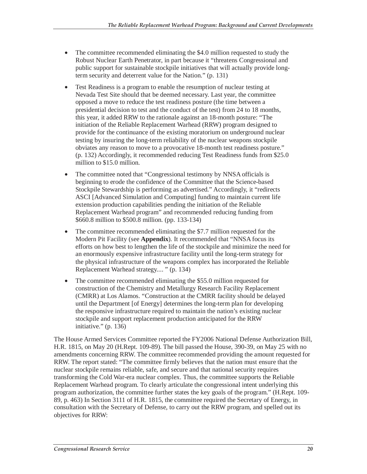- The committee recommended eliminating the \$4.0 million requested to study the Robust Nuclear Earth Penetrator, in part because it "threatens Congressional and public support for sustainable stockpile initiatives that will actually provide longterm security and deterrent value for the Nation." (p. 131)
- Test Readiness is a program to enable the resumption of nuclear testing at Nevada Test Site should that be deemed necessary. Last year, the committee opposed a move to reduce the test readiness posture (the time between a presidential decision to test and the conduct of the test) from 24 to 18 months, this year, it added RRW to the rationale against an 18-month posture: "The initiation of the Reliable Replacement Warhead (RRW) program designed to provide for the continuance of the existing moratorium on underground nuclear testing by insuring the long-term reliability of the nuclear weapons stockpile obviates any reason to move to a provocative 18-month test readiness posture." (p. 132) Accordingly, it recommended reducing Test Readiness funds from \$25.0 million to \$15.0 million.
- The committee noted that "Congressional testimony by NNSA officials is beginning to erode the confidence of the Committee that the Science-based Stockpile Stewardship is performing as advertised." Accordingly, it "redirects ASCI [Advanced Simulation and Computing] funding to maintain current life extension production capabilities pending the initiation of the Reliable Replacement Warhead program" and recommended reducing funding from \$660.8 million to \$500.8 million. (pp. 133-134)
- The committee recommended eliminating the \$7.7 million requested for the Modern Pit Facility (see **Appendix**). It recommended that "NNSA focus its efforts on how best to lengthen the life of the stockpile and minimize the need for an enormously expensive infrastructure facility until the long-term strategy for the physical infrastructure of the weapons complex has incorporated the Reliable Replacement Warhead strategy.... " (p. 134)
- The committee recommended eliminating the \$55.0 million requested for construction of the Chemistry and Metallurgy Research Facility Replacement (CMRR) at Los Alamos. "Construction at the CMRR facility should be delayed until the Department [of Energy] determines the long-term plan for developing the responsive infrastructure required to maintain the nation's existing nuclear stockpile and support replacement production anticipated for the RRW initiative." (p. 136)

The House Armed Services Committee reported the FY2006 National Defense Authorization Bill, H.R. 1815, on May 20 (H.Rept. 109-89). The bill passed the House, 390-39, on May 25 with no amendments concerning RRW. The committee recommended providing the amount requested for RRW. The report stated: "The committee firmly believes that the nation must ensure that the nuclear stockpile remains reliable, safe, and secure and that national security requires transforming the Cold War-era nuclear complex. Thus, the committee supports the Reliable Replacement Warhead program. To clearly articulate the congressional intent underlying this program authorization, the committee further states the key goals of the program." (H.Rept. 109- 89, p. 463) In Section 3111 of H.R. 1815, the committee required the Secretary of Energy, in consultation with the Secretary of Defense, to carry out the RRW program, and spelled out its objectives for RRW: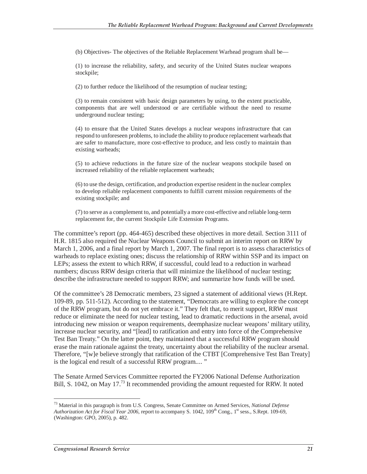(b) Objectives- The objectives of the Reliable Replacement Warhead program shall be—

(1) to increase the reliability, safety, and security of the United States nuclear weapons stockpile;

(2) to further reduce the likelihood of the resumption of nuclear testing;

(3) to remain consistent with basic design parameters by using, to the extent practicable, components that are well understood or are certifiable without the need to resume underground nuclear testing;

(4) to ensure that the United States develops a nuclear weapons infrastructure that can respond to unforeseen problems, to include the ability to produce replacement warheads that are safer to manufacture, more cost-effective to produce, and less costly to maintain than existing warheads;

(5) to achieve reductions in the future size of the nuclear weapons stockpile based on increased reliability of the reliable replacement warheads;

(6) to use the design, certification, and production expertise resident in the nuclear complex to develop reliable replacement components to fulfill current mission requirements of the existing stockpile; and

(7) to serve as a complement to, and potentially a more cost-effective and reliable long-term replacement for, the current Stockpile Life Extension Programs.

The committee's report (pp. 464-465) described these objectives in more detail. Section 3111 of H.R. 1815 also required the Nuclear Weapons Council to submit an interim report on RRW by March 1, 2006, and a final report by March 1, 2007. The final report is to assess characteristics of warheads to replace existing ones; discuss the relationship of RRW within SSP and its impact on LEPs; assess the extent to which RRW, if successful, could lead to a reduction in warhead numbers; discuss RRW design criteria that will minimize the likelihood of nuclear testing; describe the infrastructure needed to support RRW; and summarize how funds will be used.

Of the committee's 28 Democratic members, 23 signed a statement of additional views (H.Rept. 109-89, pp. 511-512). According to the statement, "Democrats are willing to explore the concept of the RRW program, but do not yet embrace it." They felt that, to merit support, RRW must reduce or eliminate the need for nuclear testing, lead to dramatic reductions in the arsenal, avoid introducing new mission or weapon requirements, deemphasize nuclear weapons' military utility, increase nuclear security, and "[lead] to ratification and entry into force of the Comprehensive Test Ban Treaty." On the latter point, they maintained that a successful RRW program should erase the main rationale against the treaty, uncertainty about the reliability of the nuclear arsenal. Therefore, "[w]e believe strongly that ratification of the CTBT [Comprehensive Test Ban Treaty] is the logical end result of a successful RRW program.... "

The Senate Armed Services Committee reported the FY2006 National Defense Authorization Bill, S. 1042, on May 17.<sup>73</sup> It recommended providing the amount requested for RRW. It noted

 $\overline{a}$ 

<sup>73</sup> Material in this paragraph is from U.S. Congress, Senate Committee on Armed Services, *National Defense Authorization Act for Fiscal Year 2006*, report to accompany S. 1042, 109<sup>th</sup> Cong., 1<sup>st</sup> sess., S.Rept. 109-69, (Washington: GPO, 2005), p. 482.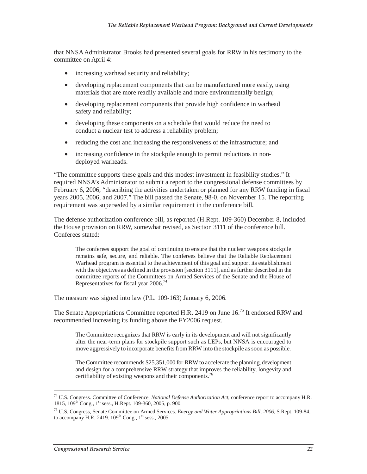that NNSA Administrator Brooks had presented several goals for RRW in his testimony to the committee on April 4:

- increasing warhead security and reliability;
- developing replacement components that can be manufactured more easily, using materials that are more readily available and more environmentally benign;
- developing replacement components that provide high confidence in warhead safety and reliability;
- developing these components on a schedule that would reduce the need to conduct a nuclear test to address a reliability problem;
- reducing the cost and increasing the responsiveness of the infrastructure; and
- increasing confidence in the stockpile enough to permit reductions in nondeployed warheads.

"The committee supports these goals and this modest investment in feasibility studies." It required NNSA's Administrator to submit a report to the congressional defense committees by February 6, 2006, "describing the activities undertaken or planned for any RRW funding in fiscal years 2005, 2006, and 2007." The bill passed the Senate, 98-0, on November 15. The reporting requirement was superseded by a similar requirement in the conference bill.

The defense authorization conference bill, as reported (H.Rept. 109-360) December 8, included the House provision on RRW, somewhat revised, as Section 3111 of the conference bill. Conferees stated:

The conferees support the goal of continuing to ensure that the nuclear weapons stockpile remains safe, secure, and reliable. The conferees believe that the Reliable Replacement Warhead program is essential to the achievement of this goal and support its establishment with the objectives as defined in the provision [section 3111], and as further described in the committee reports of the Committees on Armed Services of the Senate and the House of Representatives for fiscal year 2006.<sup>74</sup>

The measure was signed into law (P.L. 109-163) January 6, 2006.

The Senate Appropriations Committee reported H.R. 2419 on June 16.<sup>75</sup> It endorsed RRW and recommended increasing its funding above the FY2006 request.

The Committee recognizes that RRW is early in its development and will not significantly alter the near-term plans for stockpile support such as LEPs, but NNSA is encouraged to move aggressively to incorporate benefits from RRW into the stockpile as soon as possible.

The Committee recommends \$25,351,000 for RRW to accelerate the planning, development and design for a comprehensive RRW strategy that improves the reliability, longevity and certifiability of existing weapons and their components.<sup>76</sup>

<sup>-</sup>74 U.S. Congress. Committee of Conference, *National Defense Authorization Act*, conference report to accompany H.R. 1815, 109th Cong., 1st sess., H.Rept. 109-360, 2005, p. 900.

<sup>75</sup> U.S. Congress, Senate Committee on Armed Services. *Energy and Water Appropriations Bill, 2006*, S.Rept. 109-84, to accompany H.R. 2419.  $109<sup>th</sup>$  Cong.,  $1<sup>st</sup>$  sess., 2005.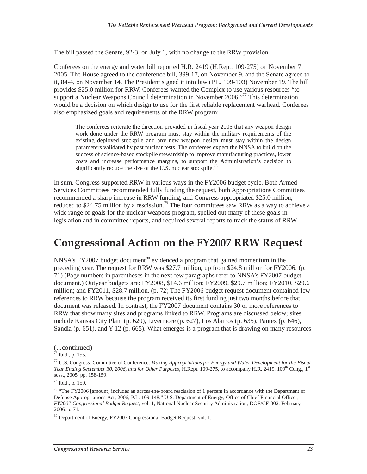The bill passed the Senate, 92-3, on July 1, with no change to the RRW provision.

Conferees on the energy and water bill reported H.R. 2419 (H.Rept. 109-275) on November 7, 2005. The House agreed to the conference bill, 399-17, on November 9, and the Senate agreed to it, 84-4, on November 14. The President signed it into law (P.L. 109-103) November 19. The bill provides \$25.0 million for RRW. Conferees wanted the Complex to use various resources "to support a Nuclear Weapons Council determination in November 2006.<sup>"77</sup> This determination would be a decision on which design to use for the first reliable replacement warhead. Conferees also emphasized goals and requirements of the RRW program:

The conferees reiterate the direction provided in fiscal year 2005 that any weapon design work done under the RRW program must stay within the military requirements of the existing deployed stockpile and any new weapon design must stay within the design parameters validated by past nuclear tests. The conferees expect the NNSA to build on the success of science-based stockpile stewardship to improve manufacturing practices, lower costs and increase performance margins, to support the Administration's decision to significantly reduce the size of the U.S. nuclear stockpile.<sup>78</sup>

In sum, Congress supported RRW in various ways in the FY2006 budget cycle. Both Armed Services Committees recommended fully funding the request, both Appropriations Committees recommended a sharp increase in RRW funding, and Congress appropriated \$25.0 million, reduced to \$24.75 million by a rescission.<sup>79</sup> The four committees saw RRW as a way to achieve a wide range of goals for the nuclear weapons program, spelled out many of these goals in legislation and in committee reports, and required several reports to track the status of RRW.

### **Congressional Action on the FY2007 RRW Request**

NNSA's FY2007 budget document<sup>80</sup> evidenced a program that gained momentum in the preceding year. The request for RRW was \$27.7 million, up from \$24.8 million for FY2006. (p. 71) (Page numbers in parentheses in the next few paragraphs refer to NNSA's FY2007 budget document.) Outyear budgets are: FY2008, \$14.6 million; FY2009, \$29.7 million; FY2010, \$29.6 million; and FY2011, \$28.7 million. (p. 72) The FY2006 budget request document contained few references to RRW because the program received its first funding just two months before that document was released. In contrast, the FY2007 document contains 30 or more references to RRW that show many sites and programs linked to RRW. Programs are discussed below; sites include Kansas City Plant (p. 620), Livermore (p. 627), Los Alamos (p. 635), Pantex (p. 646), Sandia (p. 651), and Y-12 (p. 665). What emerges is a program that is drawing on many resources

<sup>(...</sup>continued)

 $76$  Ibid., p. 155.

<sup>77</sup> U.S. Congress. Committee of Conference, *Making Appropriations for Energy and Water Development for the Fiscal Year Ending September 30, 2006, and for Other Purposes*, H.Rept. 109-275, to accompany H.R. 2419. 109<sup>th</sup> Cong., 1<sup>st</sup> sess., 2005, pp. 158-159.

<sup>78</sup> Ibid., p. 159.

<sup>&</sup>lt;sup>79</sup> "The FY2006 [amount] includes an across-the-board rescission of 1 percent in accordance with the Department of Defense Appropriations Act, 2006, P.L. 109-148." U.S. Department of Energy, Office of Chief Financial Officer, *FY2007 Congressional Budget Request*, vol. 1, National Nuclear Security Administration, DOE/CF-002, February 2006, p. 71.

<sup>&</sup>lt;sup>80</sup> Department of Energy, FY2007 Congressional Budget Request, vol. 1.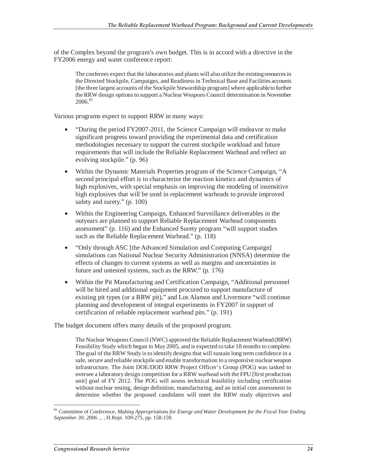of the Complex beyond the program's own budget. This is in accord with a directive in the FY2006 energy and water conference report:

The conferees expect that the laboratories and plants will also utilize the existing resources in the Directed Stockpile, Campaigns, and Readiness in Technical Base and Facilities accounts [the three largest accounts of the Stockpile Stewardship program] where applicable to further the RRW design options to support a Nuclear Weapons Council determination in November  $2006.<sup>81</sup>$ 

Various programs expect to support RRW in many ways:

- "During the period FY2007-2011, the Science Campaign will endeavor to make significant progress toward providing the experimental data and certification methodologies necessary to support the current stockpile workload and future requirements that will include the Reliable Replacement Warhead and reflect an evolving stockpile." (p. 96)
- Within the Dynamic Materials Properties program of the Science Campaign, "A second principal effort is to characterize the reaction kinetics and dynamics of high explosives, with special emphasis on improving the modeling of insensitive high explosives that will be used in replacement warheads to provide improved safety and surety." (p. 100)
- Within the Engineering Campaign, Enhanced Surveillance deliverables in the outyears are planned to support Reliable Replacement Warhead components assessment" (p. 116) and the Enhanced Surety program "will support studies such as the Reliable Replacement Warhead." (p. 118)
- "Only through ASC [the Advanced Simulation and Computing Campaign] simulations can National Nuclear Security Administration (NNSA) determine the effects of changes to current systems as well as margins and uncertainties in future and untested systems, such as the RRW." (p. 176)
- Within the Pit Manufacturing and Certification Campaign, "Additional personnel will be hired and additional equipment procured to support manufacture of existing pit types (or a RRW pit)," and Los Alamos and Livermore "will continue planning and development of integral experiments in FY2007 in support of certification of reliable replacement warhead pits." (p. 191)

The budget document offers many details of the proposed program.

The Nuclear Weapons Council (NWC) approved the Reliable Replacement Warhead (RRW) Feasibility Study which began in May 2005, and is expected to take 18 months to complete. The goal of the RRW Study is to identify designs that will sustain long term confidence in a safe, secure and reliable stockpile and enable transformation to a responsive nuclear weapon infrastructure. The Joint DOE/DOD RRW Project Officer's Group (POG) was tasked to oversee a laboratory design competition for a RRW warhead with the FPU [first production unit] goal of FY 2012. The POG will assess technical feasibility including certification without nuclear testing, design definition, manufacturing, and an initial cost assessment to determine whether the proposed candidates will meet the RRW study objectives and

<sup>-</sup>81 Committee of Conference, *Making Appropriations for Energy and Water Development for the Fiscal Year Ending September 30, 2006 ...* , H.Rept. 109-275, pp. 158-159.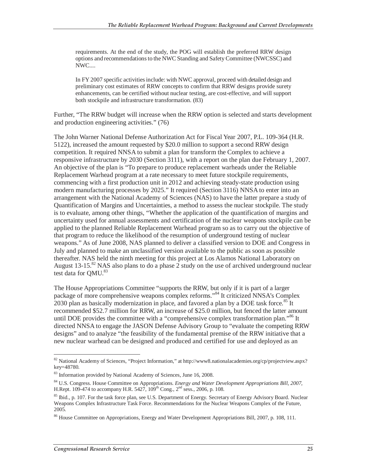requirements. At the end of the study, the POG will establish the preferred RRW design options and recommendations to the NWC Standing and Safety Committee (NWCSSC) and NWC....

In FY 2007 specific activities include: with NWC approval, proceed with detailed design and preliminary cost estimates of RRW concepts to confirm that RRW designs provide surety enhancements, can be certified without nuclear testing, are cost-effective, and will support both stockpile and infrastructure transformation. (83)

Further, "The RRW budget will increase when the RRW option is selected and starts development and production engineering activities." (76)

The John Warner National Defense Authorization Act for Fiscal Year 2007, P.L. 109-364 (H.R. 5122), increased the amount requested by \$20.0 million to support a second RRW design competition. It required NNSA to submit a plan for transform the Complex to achieve a responsive infrastructure by 2030 (Section 3111), with a report on the plan due February 1, 2007. An objective of the plan is "To prepare to produce replacement warheads under the Reliable Replacement Warhead program at a rate necessary to meet future stockpile requirements, commencing with a first production unit in 2012 and achieving steady-state production using modern manufacturing processes by 2025." It required (Section 3116) NNSA to enter into an arrangement with the National Academy of Sciences (NAS) to have the latter prepare a study of Quantification of Margins and Uncertainties, a method to assess the nuclear stockpile. The study is to evaluate, among other things, "Whether the application of the quantification of margins and uncertainty used for annual assessments and certification of the nuclear weapons stockpile can be applied to the planned Reliable Replacement Warhead program so as to carry out the objective of that program to reduce the likelihood of the resumption of underground testing of nuclear weapons." As of June 2008, NAS planned to deliver a classified version to DOE and Congress in July and planned to make an unclassified version available to the public as soon as possible thereafter. NAS held the ninth meeting for this project at Los Alamos National Laboratory on August 13-15.<sup>82</sup> NAS also plans to do a phase 2 study on the use of archived underground nuclear test data for QMU.<sup>83</sup>

The House Appropriations Committee "supports the RRW, but only if it is part of a larger package of more comprehensive weapons complex reforms."84 It criticized NNSA's Complex 2030 plan as basically modernization in place, and favored a plan by a DOE task force.<sup>85</sup> It recommended \$52.7 million for RRW, an increase of \$25.0 million, but fenced the latter amount until DOE provides the committee with a "comprehensive complex transformation plan."<sup>86</sup> It directed NNSA to engage the JASON Defense Advisory Group to "evaluate the competing RRW designs" and to analyze "the feasibility of the fundamental premise of the RRW initiative that a new nuclear warhead can be designed and produced and certified for use and deployed as an

<sup>-</sup>82 National Academy of Sciences, "Project Information," at http://www8.nationalacademies.org/cp/projectview.aspx? key=48780.

<sup>&</sup>lt;sup>83</sup> Information provided by National Academy of Sciences, June 16, 2008.

<sup>84</sup> U.S. Congress. House Committee on Appropriations. *Energy and Water Development Appropriations Bill, 2007,* H.Rept. 109-474 to accompany H.R. 5427,  $109^{th}$  Cong.,  $2^{nd}$  sess., 2006, p. 108.

<sup>&</sup>lt;sup>85</sup> Ibid., p. 107. For the task force plan, see U.S. Department of Energy. Secretary of Energy Advisory Board. Nuclear Weapons Complex Infrastructure Task Force. Recommendations for the Nuclear Weapons Complex of the Future, 2005.

<sup>&</sup>lt;sup>86</sup> House Committee on Appropriations, Energy and Water Development Appropriations Bill, 2007, p. 108, 111.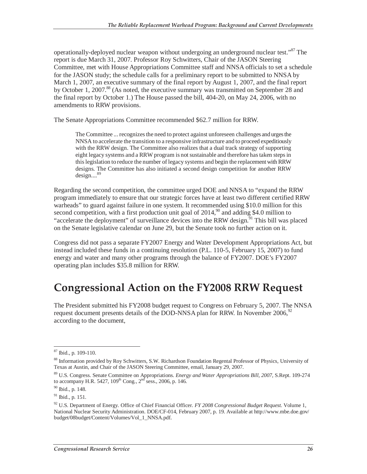operationally-deployed nuclear weapon without undergoing an underground nuclear test.<sup>887</sup> The report is due March 31, 2007. Professor Roy Schwitters, Chair of the JASON Steering Committee, met with House Appropriations Committee staff and NNSA officials to set a schedule for the JASON study; the schedule calls for a preliminary report to be submitted to NNSA by March 1, 2007, an executive summary of the final report by August 1, 2007, and the final report by October 1, 2007.<sup>88</sup> (As noted, the executive summary was transmitted on September 28 and the final report by October 1.) The House passed the bill, 404-20, on May 24, 2006, with no amendments to RRW provisions.

The Senate Appropriations Committee recommended \$62.7 million for RRW.

The Committee ... recognizes the need to protect against unforeseen challenges and urges the NNSA to accelerate the transition to a responsive infrastructure and to proceed expeditiously with the RRW design. The Committee also realizes that a dual track strategy of supporting eight legacy systems and a RRW program is not sustainable and therefore has taken steps in this legislation to reduce the number of legacy systems and begin the replacement with RRW designs. The Committee has also initiated a second design competition for another RRW design....<sup>89</sup>

Regarding the second competition, the committee urged DOE and NNSA to "expand the RRW program immediately to ensure that our strategic forces have at least two different certified RRW warheads" to guard against failure in one system. It recommended using \$10.0 million for this second competition, with a first production unit goal of  $2014<sup>90</sup>$  and adding \$4.0 million to "accelerate the deployment" of surveillance devices into the RRW design.<sup>91</sup> This bill was placed on the Senate legislative calendar on June 29, but the Senate took no further action on it.

Congress did not pass a separate FY2007 Energy and Water Development Appropriations Act, but instead included these funds in a continuing resolution (P.L. 110-5, February 15, 2007) to fund energy and water and many other programs through the balance of FY2007. DOE's FY2007 operating plan includes \$35.8 million for RRW.

## **Congressional Action on the FY2008 RRW Request**

The President submitted his FY2008 budget request to Congress on February 5, 2007. The NNSA request document presents details of the DOD-NNSA plan for RRW. In November 2006,<sup>92</sup> according to the document,

 $\overline{a}$ 87 Ibid., p. 109-110.

<sup>88</sup> Information provided by Roy Schwitters, S.W. Richardson Foundation Regental Professor of Physics, University of Texas at Austin, and Chair of the JASON Steering Committee, email, January 29, 2007.

<sup>89</sup> U.S. Congress. Senate Committee on Appropriations. *Energy and Water Appropriations Bill, 2007,* S.Rept. 109-274 to accompany H.R. 5427,  $109^{th}$  Cong.,  $2^{nd}$  sess., 2006, p. 146.

 $90$  Ibid., p. 148.

 $91$  Ibid., p. 151.

<sup>92</sup> U.S. Department of Energy. Office of Chief Financial Officer. *FY 2008 Congressional Budget Request.* Volume 1, National Nuclear Security Administration. DOE/CF-014, February 2007, p. 19. Available at http://www.mbe.doe.gov/ budget/08budget/Content/Volumes/Vol\_1\_NNSA.pdf.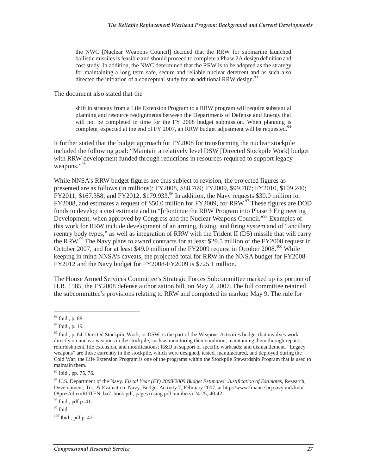the NWC [Nuclear Weapons Council] decided that the RRW for submarine launched ballistic missiles is feasible and should proceed to complete a Phase 2A design definition and cost study. In addition, the NWC determined that the RRW is to be adopted as the strategy for maintaining a long term safe, secure and reliable nuclear deterrent and as such also directed the initiation of a conceptual study for an additional RRW design.<sup>93</sup>

The document also stated that the

shift in strategy from a Life Extension Program to a RRW program will require substantial planning and resource realignments between the Departments of Defense and Energy that will not be completed in time for the FY 2008 budget submission. When planning is complete, expected at the end of FY 2007, an RRW budget adjustment will be requested.<sup>94</sup>

It further stated that the budget approach for FY2008 for transforming the nuclear stockpile included the following goal: "Maintain a relatively level DSW [Directed Stockpile Work] budget with RRW development funded through reductions in resources required to support legacy weapons."<sup>95</sup>

While NNSA's RRW budget figures are thus subject to revision, the projected figures as presented are as follows (in millions): FY2008, \$88.769; FY2009, \$99.787; FY2010, \$109.240;  $\text{FY2011}, \$167.358$ ; and  $\text{FY2012}, \$179.933$ .<sup>96</sup> In addition, the Navy requests \$30.0 million for FY2008, and estimates a request of \$50.0 million for FY2009, for RRW.<sup>97</sup> These figures are DOD funds to develop a cost estimate and to "[c]ontinue the RRW Program into Phase 3 Engineering Development, when approved by Congress and the Nuclear Weapons Council."<sup>98</sup> Examples of this work for RRW include development of an arming, fuzing, and firing system and of "ancillary reentry body types," as well as integration of RRW with the Trident II (D5) missile that will carry the RRW.<sup>99</sup> The Navy plans to award contracts for at least \$29.5 million of the FY2008 request in October 2007, and for at least \$49.0 million of the FY2009 request in October 2008.<sup>100</sup> While keeping in mind NNSA's caveats, the projected total for RRW in the NNSA budget for FY2008- FY2012 and the Navy budget for FY2008-FY2009 is \$725.1 million.

The House Armed Services Committee's Strategic Forces Subcommittee marked up its portion of H.R. 1585, the FY2008 defense authorization bill, on May 2, 2007. The full committee retained the subcommittee's provisions relating to RRW and completed its markup May 9. The rule for

<sup>-</sup>93 Ibid., p. 88.

 $94$  Ibid., p. 19.

 $95$  Ibid., p. 64. Directed Stockpile Work, or DSW, is the part of the Weapons Activities budget that involves work directly on nuclear weapons in the stockpile, such as monitoring their condition; maintaining them through repairs, refurbishment, life extension, and modifications; R&D in support of specific warheads; and dismantlement. "Legacy weapons" are those currently in the stockpile, which were designed, tested, manufactured, and deployed during the Cold War; the Life Extension Program is one of the programs within the Stockpile Stewardship Program that is used to maintain them.

<sup>96</sup> Ibid., pp. 75, 76.

<sup>97</sup> U.S. Department of the Navy. *Fiscal Year (FY) 2008/2009 Budget Estimates: Justification of Estimates,* Research, Development, Test & Evaluation, Navy, Budget Activity 7, February 2007, at http://www.finance.hq.navy.mil/fmb/ 08pres/rdten/RDTEN\_ba7\_book.pdf, pages (using pdf numbers) 24-25, 40-42.

<sup>98</sup> Ibid., pdf p. 41.

 $99$  Ibid.

 $100$  Ibid., pdf p. 42.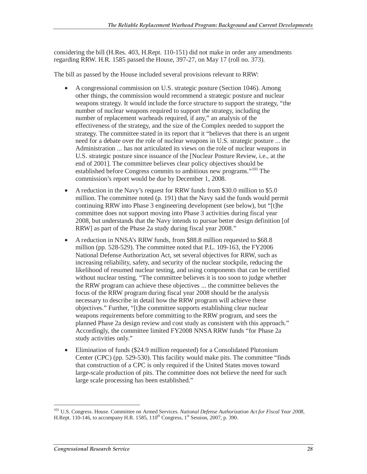considering the bill (H.Res. 403, H.Rept. 110-151) did not make in order any amendments regarding RRW. H.R. 1585 passed the House, 397-27, on May 17 (roll no. 373).

The bill as passed by the House included several provisions relevant to RRW:

- A congressional commission on U.S. strategic posture (Section 1046). Among other things, the commission would recommend a strategic posture and nuclear weapons strategy. It would include the force structure to support the strategy, "the number of nuclear weapons required to support the strategy, including the number of replacement warheads required, if any," an analysis of the effectiveness of the strategy, and the size of the Complex needed to support the strategy. The committee stated in its report that it "believes that there is an urgent need for a debate over the role of nuclear weapons in U.S. strategic posture ... the Administration ... has not articulated its views on the role of nuclear weapons in U.S. strategic posture since issuance of the [Nuclear Posture Review, i.e., at the end of 2001]. The committee believes clear policy objectives should be established before Congress commits to ambitious new programs."101 The commission's report would be due by December 1, 2008.
- A reduction in the Navy's request for RRW funds from \$30.0 million to \$5.0 million. The committee noted (p. 191) that the Navy said the funds would permit continuing RRW into Phase 3 engineering development (see below), but "[t]he committee does not support moving into Phase 3 activities during fiscal year 2008, but understands that the Navy intends to pursue better design definition [of RRW] as part of the Phase 2a study during fiscal year 2008."
- A reduction in NNSA's RRW funds, from \$88.8 million requested to \$68.8 million (pp. 528-529). The committee noted that P.L. 109-163, the FY2006 National Defense Authorization Act, set several objectives for RRW, such as increasing reliability, safety, and security of the nuclear stockpile, reducing the likelihood of resumed nuclear testing, and using components that can be certified without nuclear testing. "The committee believes it is too soon to judge whether the RRW program can achieve these objectives ... the committee believes the focus of the RRW program during fiscal year 2008 should be the analysis necessary to describe in detail how the RRW program will achieve these objectives." Further, "[t]he committee supports establishing clear nuclear weapons requirements before committing to the RRW program, and sees the planned Phase 2a design review and cost study as consistent with this approach." Accordingly, the committee limited FY2008 NNSA RRW funds "for Phase 2a study activities only."
- Elimination of funds (\$24.9 million requested) for a Consolidated Plutonium Center (CPC) (pp. 529-530). This facility would make pits. The committee "finds that construction of a CPC is only required if the United States moves toward large-scale production of pits. The committee does not believe the need for such large scale processing has been established."

<sup>-</sup>101 U.S. Congress. House. Committee on Armed Services. *National Defense Authorization Act for Fiscal Year 2008,* H.Rept. 110-146, to accompany H.R. 1585,  $110^{th}$  Congress,  $1^{st}$  Session, 2007, p. 390.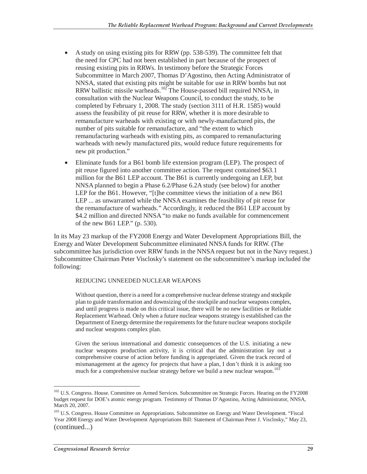- A study on using existing pits for RRW (pp. 538-539). The committee felt that the need for CPC had not been established in part because of the prospect of reusing existing pits in RRWs. In testimony before the Strategic Forces Subcommittee in March 2007, Thomas D'Agostino, then Acting Administrator of NNSA, stated that existing pits might be suitable for use in RRW bombs but not RRW ballistic missile warheads.<sup>102</sup> The House-passed bill required NNSA, in consultation with the Nuclear Weapons Council, to conduct the study, to be completed by February 1, 2008. The study (section 3111 of H.R. 1585) would assess the feasibility of pit reuse for RRW, whether it is more desirable to remanufacture warheads with existing or with newly-manufactured pits, the number of pits suitable for remanufacture, and "the extent to which remanufacturing warheads with existing pits, as compared to remanufacturing warheads with newly manufactured pits, would reduce future requirements for new pit production."
- Eliminate funds for a B61 bomb life extension program (LEP). The prospect of pit reuse figured into another committee action. The request contained \$63.1 million for the B61 LEP account. The B61 is currently undergoing an LEP, but NNSA planned to begin a Phase 6.2/Phase 6.2A study (see below) for another LEP for the B61. However, "[t]he committee views the initiation of a new B61 LEP ... as unwarranted while the NNSA examines the feasibility of pit reuse for the remanufacture of warheads." Accordingly, it reduced the B61 LEP account by \$4.2 million and directed NNSA "to make no funds available for commencement of the new B61 LEP." (p. 530).

In its May 23 markup of the FY2008 Energy and Water Development Appropriations Bill, the Energy and Water Development Subcommittee eliminated NNSA funds for RRW. (The subcommittee has jurisdiction over RRW funds in the NNSA request but not in the Navy request.) Subcommittee Chairman Peter Visclosky's statement on the subcommittee's markup included the following:

#### REDUCING UNNEEDED NUCLEAR WEAPONS

Without question, there is a need for a comprehensive nuclear defense strategy and stockpile plan to guide transformation and downsizing of the stockpile and nuclear weapons complex, and until progress is made on this critical issue, there will be no new facilities or Reliable Replacement Warhead. Only when a future nuclear weapons strategy is established can the Department of Energy determine the requirements for the future nuclear weapons stockpile and nuclear weapons complex plan.

Given the serious international and domestic consequences of the U.S. initiating a new nuclear weapons production activity, it is critical that the administration lay out a comprehensive course of action before funding is appropriated. Given the track record of mismanagement at the agency for projects that have a plan, I don't think it is asking too much for a comprehensive nuclear strategy before we build a new nuclear weapon.<sup>103</sup>

 $\overline{a}$ <sup>102</sup> U.S. Congress. House. Committee on Armed Services. Subcommittee on Strategic Forces. Hearing on the FY2008 budget request for DOE's atomic energy program. Testimony of Thomas D'Agostino, Acting Administrator, NNSA, March 20, 2007.

<sup>&</sup>lt;sup>103</sup> U.S. Congress. House Committee on Appropriations. Subcommittee on Energy and Water Development. "Fiscal Year 2008 Energy and Water Development Appropriations Bill: Statement of Chairman Peter J. Visclosky," May 23, (continued...)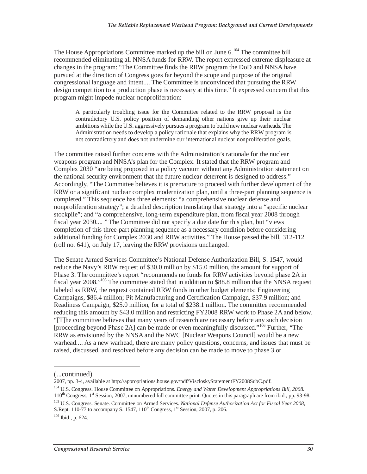The House Appropriations Committee marked up the bill on June  $6.104$  The committee bill recommended eliminating all NNSA funds for RRW. The report expressed extreme displeasure at changes in the program: "The Committee finds the RRW program the DoD and NNSA have pursued at the direction of Congress goes far beyond the scope and purpose of the original congressional language and intent.... The Committee is unconvinced that pursuing the RRW design competition to a production phase is necessary at this time." It expressed concern that this program might impede nuclear nonproliferation:

A particularly troubling issue for the Committee related to the RRW proposal is the contradictory U.S. policy position of demanding other nations give up their nuclear ambitions while the U.S. aggressively pursues a program to build new nuclear warheads. The Administration needs to develop a policy rationale that explains why the RRW program is not contradictory and does not undermine our international nuclear nonproliferation goals.

The committee raised further concerns with the Administration's rationale for the nuclear weapons program and NNSA's plan for the Complex. It stated that the RRW program and Complex 2030 "are being proposed in a policy vacuum without any Administration statement on the national security environment that the future nuclear deterrent is designed to address." Accordingly, "The Committee believes it is premature to proceed with further development of the RRW or a significant nuclear complex modernization plan, until a three-part planning sequence is completed." This sequence has three elements: "a comprehensive nuclear defense and nonproliferation strategy"; a detailed description translating that strategy into a "specific nuclear stockpile"; and "a comprehensive, long-term expenditure plan, from fiscal year 2008 through fiscal year 2030.... " The Committee did not specify a due date for this plan, but "views completion of this three-part planning sequence as a necessary condition before considering additional funding for Complex 2030 and RRW activities." The House passed the bill, 312-112 (roll no. 641), on July 17, leaving the RRW provisions unchanged.

The Senate Armed Services Committee's National Defense Authorization Bill, S. 1547, would reduce the Navy's RRW request of \$30.0 million by \$15.0 million, the amount for support of Phase 3. The committee's report "recommends no funds for RRW activities beyond phase 2A in fiscal year 2008."105 The committee stated that in addition to \$88.8 million that the NNSA request labeled as RRW, the request contained RRW funds in other budget elements: Engineering Campaigns, \$86.4 million; Pit Manufacturing and Certification Campaign, \$37.9 million; and Readiness Campaign, \$25.0 million, for a total of \$238.1 million. The committee recommended reducing this amount by \$43.0 million and restricting FY2008 RRW work to Phase 2A and below. "[T]he committee believes that many years of research are necessary before any such decision [proceeding beyond Phase 2A] can be made or even meaningfully discussed."<sup>106</sup> Further, "The RRW as envisioned by the NNSA and the NWC [Nuclear Weapons Council] would be a new warhead.... As a new warhead, there are many policy questions, concerns, and issues that must be raised, discussed, and resolved before any decision can be made to move to phase 3 or

-

2007, pp. 3-4, available at http://appropriations.house.gov/pdf/ViscloskyStatementFY2008SubC.pdf.

<sup>(...</sup>continued)

<sup>104</sup> U.S. Congress. House Committee on Appropriations. *Energy and Water Development Appropriations Bill, 2008.* 110<sup>th</sup> Congress, 1<sup>st</sup> Session, 2007, unnumbered full committee print. Quotes in this paragraph are from ibid., pp. 93-98.

<sup>105</sup> U.S. Congress. Senate. Committee on Armed Services. *National Defense Authorization Act for Fiscal Year 2008,* S.Rept. 110-77 to accompany S. 1547,  $110^{th}$  Congress,  $1^{st}$  Session, 2007, p. 206.

 $106$  Ibid., p. 624.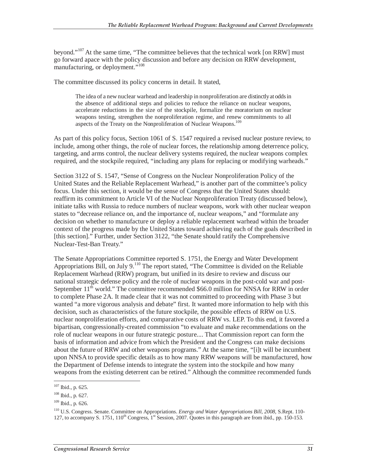beyond."<sup>107</sup> At the same time, "The committee believes that the technical work [on RRW] must go forward apace with the policy discussion and before any decision on RRW development, manufacturing, or deployment."<sup>108</sup>

The committee discussed its policy concerns in detail. It stated,

The idea of a new nuclear warhead and leadership in nonproliferation are distinctly at odds in the absence of additional steps and policies to reduce the reliance on nuclear weapons, accelerate reductions in the size of the stockpile, formalize the moratorium on nuclear weapons testing, strengthen the nonproliferation regime, and renew commitments to all aspects of the Treaty on the Nonproliferation of Nuclear Weapons.<sup>109</sup>

As part of this policy focus, Section 1061 of S. 1547 required a revised nuclear posture review, to include, among other things, the role of nuclear forces, the relationship among deterrence policy, targeting, and arms control, the nuclear delivery systems required, the nuclear weapons complex required, and the stockpile required, "including any plans for replacing or modifying warheads."

Section 3122 of S. 1547, "Sense of Congress on the Nuclear Nonproliferation Policy of the United States and the Reliable Replacement Warhead," is another part of the committee's policy focus. Under this section, it would be the sense of Congress that the United States should: reaffirm its commitment to Article VI of the Nuclear Nonproliferation Treaty (discussed below), initiate talks with Russia to reduce numbers of nuclear weapons, work with other nuclear weapon states to "decrease reliance on, and the importance of, nuclear weapons," and "formulate any decision on whether to manufacture or deploy a reliable replacement warhead within the broader context of the progress made by the United States toward achieving each of the goals described in [this section]." Further, under Section 3122, "the Senate should ratify the Comprehensive Nuclear-Test-Ban Treaty."

The Senate Appropriations Committee reported S. 1751, the Energy and Water Development Appropriations Bill, on July 9.<sup>110</sup> The report stated, "The Committee is divided on the Reliable Replacement Warhead (RRW) program, but unified in its desire to review and discuss our national strategic defense policy and the role of nuclear weapons in the post-cold war and post-September  $11<sup>th</sup>$  world." The committee recommended \$66.0 million for NNSA for RRW in order to complete Phase 2A. It made clear that it was not committed to proceeding with Phase 3 but wanted "a more vigorous analysis and debate" first. It wanted more information to help with this decision, such as characteristics of the future stockpile, the possible effects of RRW on U.S. nuclear nonproliferation efforts, and comparative costs of RRW vs. LEP. To this end, it favored a bipartisan, congressionally-created commission "to evaluate and make recommendations on the role of nuclear weapons in our future strategic posture.... That Commission report can form the basis of information and advice from which the President and the Congress can make decisions about the future of RRW and other weapons programs." At the same time, "[i]t will be incumbent upon NNSA to provide specific details as to how many RRW weapons will be manufactured, how the Department of Defense intends to integrate the system into the stockpile and how many weapons from the existing deterrent can be retired." Although the committee recommended funds

<sup>107</sup> Ibid., p. 625.

<sup>108</sup> Ibid., p. 627.

<sup>109</sup> Ibid., p. 626.

<sup>110</sup> U.S. Congress. Senate. Committee on Appropriations. *Energy and Water Appropriations Bill, 2008,* S.Rept. 110- 127, to accompany S. 1751,  $110^{th}$  Congress,  $1^{st}$  Session, 2007. Quotes in this paragraph are from ibid., pp. 150-153.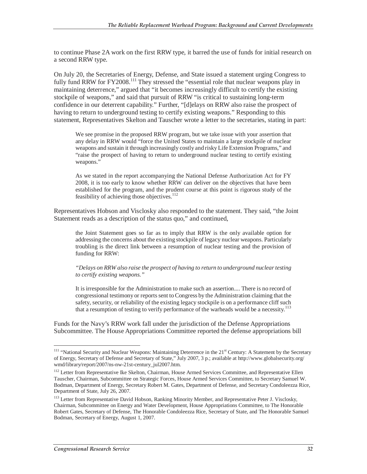to continue Phase 2A work on the first RRW type, it barred the use of funds for initial research on a second RRW type.

On July 20, the Secretaries of Energy, Defense, and State issued a statement urging Congress to fully fund RRW for FY2008.<sup>111</sup> They stressed the "essential role that nuclear weapons play in maintaining deterrence," argued that "it becomes increasingly difficult to certify the existing stockpile of weapons," and said that pursuit of RRW "is critical to sustaining long-term confidence in our deterrent capability." Further, "[d]elays on RRW also raise the prospect of having to return to underground testing to certify existing weapons." Responding to this statement, Representatives Skelton and Tauscher wrote a letter to the secretaries, stating in part:

We see promise in the proposed RRW program, but we take issue with your assertion that any delay in RRW would "force the United States to maintain a large stockpile of nuclear weapons and sustain it through increasingly costly and risky Life Extension Programs," and "raise the prospect of having to return to underground nuclear testing to certify existing weapons."

As we stated in the report accompanying the National Defense Authorization Act for FY 2008, it is too early to know whether RRW can deliver on the objectives that have been established for the program, and the prudent course at this point is rigorous study of the feasibility of achieving those objectives.<sup>112</sup>

Representatives Hobson and Visclosky also responded to the statement. They said, "the Joint Statement reads as a description of the status quo," and continued,

the Joint Statement goes so far as to imply that RRW is the only available option for addressing the concerns about the existing stockpile of legacy nuclear weapons. Particularly troubling is the direct link between a resumption of nuclear testing and the provision of funding for RRW:

*"Delays on RRW also raise the prospect of having to return to underground nuclear testing to certify existing weapons."* 

It is irresponsible for the Administration to make such an assertion.... There is no record of congressional testimony or reports sent to Congress by the Administration claiming that the safety, security, or reliability of the existing legacy stockpile is on a performance cliff such that a resumption of testing to verify performance of the warheads would be a necessity.<sup>113</sup>

Funds for the Navy's RRW work fall under the jurisdiction of the Defense Appropriations Subcommittee. The House Appropriations Committee reported the defense appropriations bill

<sup>&</sup>lt;sup>111</sup> "National Security and Nuclear Weapons: Maintaining Deterrence in the 21<sup>st</sup> Century: A Statement by the Secretary of Energy, Secretary of Defense and Secretary of State," July 2007, 3 p.; available at http://www.globalsecurity.org/ wmd/library/report/2007/ns-nw-21st-century\_jul2007.htm.

<sup>&</sup>lt;sup>112</sup> Letter from Representative Ike Skelton, Chairman, House Armed Services Committee, and Representative Ellen Tauscher, Chairman, Subcommittee on Strategic Forces, House Armed Services Committee, to Secretary Samuel W. Bodman, Department of Energy, Secretary Robert M. Gates, Department of Defense, and Secretary Condoleezza Rice, Department of State, July 26, 2007.

<sup>&</sup>lt;sup>113</sup> Letter from Representative David Hobson, Ranking Minority Member, and Representative Peter J. Visclosky, Chairman, Subcommittee on Energy and Water Development, House Appropriations Committee, to The Honorable Robert Gates, Secretary of Defense, The Honorable Condoleezza Rice, Secretary of State, and The Honorable Samuel Bodman, Secretary of Energy, August 1, 2007.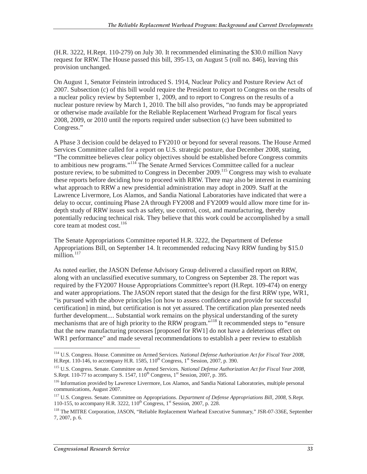(H.R. 3222, H.Rept. 110-279) on July 30. It recommended eliminating the \$30.0 million Navy request for RRW. The House passed this bill, 395-13, on August 5 (roll no. 846), leaving this provision unchanged.

On August 1, Senator Feinstein introduced S. 1914, Nuclear Policy and Posture Review Act of 2007. Subsection (c) of this bill would require the President to report to Congress on the results of a nuclear policy review by September 1, 2009, and to report to Congress on the results of a nuclear posture review by March 1, 2010. The bill also provides, "no funds may be appropriated or otherwise made available for the Reliable Replacement Warhead Program for fiscal years 2008, 2009, or 2010 until the reports required under subsection (c) have been submitted to Congress."

A Phase 3 decision could be delayed to FY2010 or beyond for several reasons. The House Armed Services Committee called for a report on U.S. strategic posture, due December 2008, stating, "The committee believes clear policy objectives should be established before Congress commits to ambitious new programs."<sup>114</sup> The Senate Armed Services Committee called for a nuclear posture review, to be submitted to Congress in December 2009.<sup>115</sup> Congress may wish to evaluate these reports before deciding how to proceed with RRW. There may also be interest in examining what approach to RRW a new presidential administration may adopt in 2009. Staff at the Lawrence Livermore, Los Alamos, and Sandia National Laboratories have indicated that were a delay to occur, continuing Phase 2A through FY2008 and FY2009 would allow more time for indepth study of RRW issues such as safety, use control, cost, and manufacturing, thereby potentially reducing technical risk. They believe that this work could be accomplished by a small core team at modest cost.<sup>116</sup>

The Senate Appropriations Committee reported H.R. 3222, the Department of Defense Appropriations Bill, on September 14. It recommended reducing Navy RRW funding by \$15.0 million. $117$ 

As noted earlier, the JASON Defense Advisory Group delivered a classified report on RRW, along with an unclassified executive summary, to Congress on September 28. The report was required by the FY2007 House Appropriations Committee's report (H.Rept. 109-474) on energy and water appropriations. The JASON report stated that the design for the first RRW type, WR1, "is pursued with the above principles [on how to assess confidence and provide for successful certification] in mind, but certification is not yet assured. The certification plan presented needs further development.... Substantial work remains on the physical understanding of the surety mechanisms that are of high priority to the RRW program.<sup>"118</sup> It recommended steps to "ensure" that the new manufacturing processes [proposed for RW1] do not have a deleterious effect on WR1 performance" and made several recommendations to establish a peer review to establish

<sup>114</sup> U.S. Congress. House. Committee on Armed Services. *National Defense Authorization Act for Fiscal Year 2008,* H.Rept. 110-146, to accompany H.R. 1585,  $110^{th}$  Congress,  $1^{st}$  Session, 2007, p. 390.

<sup>115</sup> U.S. Congress. Senate. Committee on Armed Services. *National Defense Authorization Act for Fiscal Year 2008,* S.Rept. 110-77 to accompany S. 1547,  $110^{th}$  Congress,  $1^{st}$  Session, 2007, p. 395.

<sup>&</sup>lt;sup>116</sup> Information provided by Lawrence Livermore, Los Alamos, and Sandia National Laboratories, multiple personal communications, August 2007.

<sup>117</sup> U.S. Congress. Senate. Committee on Appropriations. *Department of Defense Appropriations Bill, 2008,* S.Rept. 110-155, to accompany H.R. 3222, 110<sup>th</sup> Congress, 1<sup>st</sup> Session, 2007, p. 228.

<sup>&</sup>lt;sup>118</sup> The MITRE Corporation, JASON, "Reliable Replacement Warhead Executive Summary," JSR-07-336E, September 7, 2007, p. 6.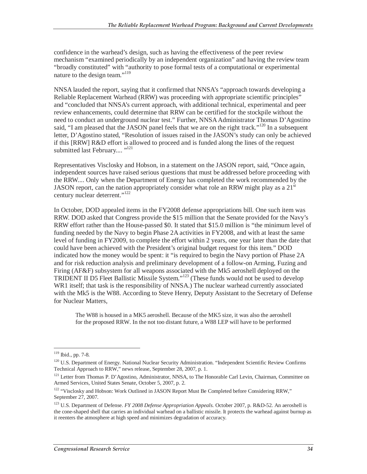confidence in the warhead's design, such as having the effectiveness of the peer review mechanism "examined periodically by an independent organization" and having the review team "broadly constituted" with "authority to pose formal tests of a computational or experimental nature to the design team."<sup>119</sup>

NNSA lauded the report, saying that it confirmed that NNSA's "approach towards developing a Reliable Replacement Warhead (RRW) was proceeding with appropriate scientific principles" and "concluded that NNSA's current approach, with additional technical, experimental and peer review enhancements, could determine that RRW can be certified for the stockpile without the need to conduct an underground nuclear test." Further, NNSA Administrator Thomas D'Agostino said, "I am pleased that the JASON panel feels that we are on the right track."<sup>120</sup> In a subsequent letter, D'Agostino stated, "Resolution of issues raised in the JASON's study can only be achieved if this [RRW] R&D effort is allowed to proceed and is funded along the lines of the request submitted last February....<sup>"121</sup>

Representatives Visclosky and Hobson, in a statement on the JASON report, said, "Once again, independent sources have raised serious questions that must be addressed before proceeding with the RRW.... Only when the Department of Energy has completed the work recommended by the JASON report, can the nation appropriately consider what role an RRW might play as a  $21<sup>st</sup>$ century nuclear deterrent."<sup>122</sup>

In October, DOD appealed items in the FY2008 defense appropriations bill. One such item was RRW. DOD asked that Congress provide the \$15 million that the Senate provided for the Navy's RRW effort rather than the House-passed \$0. It stated that \$15.0 million is "the minimum level of funding needed by the Navy to begin Phase 2A activities in FY2008, and with at least the same level of funding in FY2009, to complete the effort within 2 years, one year later than the date that could have been achieved with the President's original budget request for this item." DOD indicated how the money would be spent: it "is required to begin the Navy portion of Phase 2A and for risk reduction analysis and preliminary development of a follow-on Arming, Fuzing and Firing (AF&F) subsystem for all weapons associated with the Mk5 aeroshell deployed on the TRIDENT II D5 Fleet Ballistic Missile System."123 (These funds would not be used to develop WR1 itself; that task is the responsibility of NNSA.) The nuclear warhead currently associated with the Mk5 is the W88. According to Steve Henry, Deputy Assistant to the Secretary of Defense for Nuclear Matters,

The W88 is housed in a MK5 aeroshell. Because of the MK5 size, it was also the aeroshell for the proposed RRW. In the not too distant future, a W88 LEP will have to be performed

<sup>119</sup> Ibid., pp. 7-8.

<sup>&</sup>lt;sup>120</sup> U.S. Department of Energy. National Nuclear Security Administration. "Independent Scientific Review Confirms Technical Approach to RRW," news release, September 28, 2007, p. 1.

<sup>&</sup>lt;sup>121</sup> Letter from Thomas P. D'Agostino, Administrator, NNSA, to The Honorable Carl Levin, Chairman, Committee on Armed Services, United States Senate, October 5, 2007, p. 2.

<sup>&</sup>lt;sup>122</sup> "Visclosky and Hobson: Work Outlined in JASON Report Must Be Completed before Considering RRW," September 27, 2007.

<sup>123</sup> U.S. Department of Defense. *FY 2008 Defense Appropriation Appeals.* October 2007, p. R&D-52. An aeroshell is the cone-shaped shell that carries an individual warhead on a ballistic missile. It protects the warhead against burnup as it reenters the atmosphere at high speed and minimizes degradation of accuracy.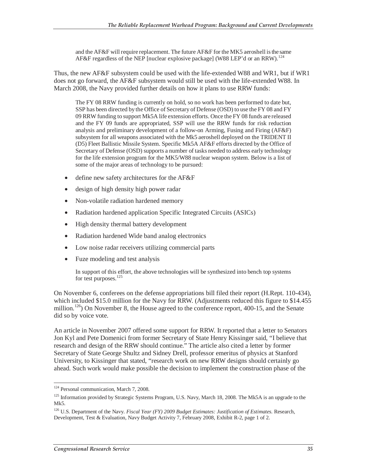and the AF&F will require replacement. The future AF&F for the MK5 aeroshell is the same AF&F regardless of the NEP [nuclear explosive package] (W88 LEP'd or an RRW).<sup>124</sup>

Thus, the new AF&F subsystem could be used with the life-extended W88 and WR1, but if WR1 does not go forward, the AF&F subsystem would still be used with the life-extended W88. In March 2008, the Navy provided further details on how it plans to use RRW funds:

The FY 08 RRW funding is currently on hold, so no work has been performed to date but, SSP has been directed by the Office of Secretary of Defense (OSD) to use the FY 08 and FY 09 RRW funding to support Mk5A life extension efforts. Once the FY 08 funds are released and the FY 09 funds are appropriated, SSP will use the RRW funds for risk reduction analysis and preliminary development of a follow-on Arming, Fusing and Firing (AF&F) subsystem for all weapons associated with the Mk5 aeroshell deployed on the TRIDENT II (D5) Fleet Ballistic Missile System. Specific Mk5A AF&F efforts directed by the Office of Secretary of Defense (OSD) supports a number of tasks needed to address early technology for the life extension program for the MK5/W88 nuclear weapon system. Below is a list of some of the major areas of technology to be pursued:

- define new safety architectures for the AF&F
- design of high density high power radar
- Non-volatile radiation hardened memory
- Radiation hardened application Specific Integrated Circuits (ASICs)
- High density thermal battery development
- Radiation hardened Wide band analog electronics
- Low noise radar receivers utilizing commercial parts
- Fuze modeling and test analysis

In support of this effort, the above technologies will be synthesized into bench top systems for test purposes.<sup>125</sup>

On November 6, conferees on the defense appropriations bill filed their report (H.Rept. 110-434), which included \$15.0 million for the Navy for RRW. (Adjustments reduced this figure to \$14.455 million.<sup>126</sup>) On November 8, the House agreed to the conference report, 400-15, and the Senate did so by voice vote.

An article in November 2007 offered some support for RRW. It reported that a letter to Senators Jon Kyl and Pete Domenici from former Secretary of State Henry Kissinger said, "I believe that research and design of the RRW should continue." The article also cited a letter by former Secretary of State George Shultz and Sidney Drell, professor emeritus of physics at Stanford University, to Kissinger that stated, "research work on new RRW designs should certainly go ahead. Such work would make possible the decision to implement the construction phase of the

 $\overline{a}$ <sup>124</sup> Personal communication, March 7, 2008.

<sup>&</sup>lt;sup>125</sup> Information provided by Strategic Systems Program, U.S. Navy, March 18, 2008. The Mk5A is an upgrade to the Mk5.

<sup>126</sup> U.S. Department of the Navy. *Fiscal Year (FY) 2009 Budget Estimates: Justification of Estimates.* Research, Development, Test & Evaluation, Navy Budget Activity 7, February 2008, Exhibit R-2, page 1 of 2.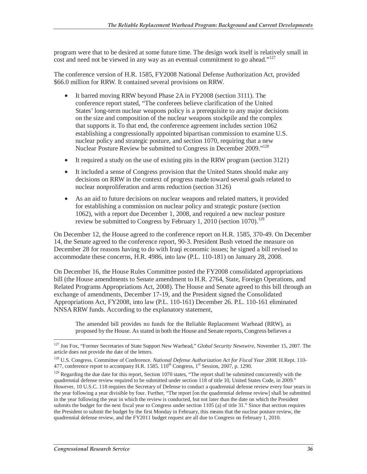program were that to be desired at some future time. The design work itself is relatively small in  $\frac{1}{2}$  cost and need not be viewed in any way as an eventual commitment to go ahead."<sup>127</sup>

The conference version of H.R. 1585, FY2008 National Defense Authorization Act, provided \$66.0 million for RRW. It contained several provisions on RRW.

- It barred moving RRW beyond Phase 2A in FY2008 (section 3111). The conference report stated, "The conferees believe clarification of the United States' long-term nuclear weapons policy is a prerequisite to any major decisions on the size and composition of the nuclear weapons stockpile and the complex that supports it. To that end, the conference agreement includes section 1062 establishing a congressionally appointed bipartisan commission to examine U.S. nuclear policy and strategic posture, and section 1070, requiring that a new Nuclear Posture Review be submitted to Congress in December 2009."128
- It required a study on the use of existing pits in the RRW program (section 3121)
- It included a sense of Congress provision that the United States should make any decisions on RRW in the context of progress made toward several goals related to nuclear nonproliferation and arms reduction (section 3126)
- As an aid to future decisions on nuclear weapons and related matters, it provided for establishing a commission on nuclear policy and strategic posture (section 1062), with a report due December 1, 2008, and required a new nuclear posture review be submitted to Congress by February 1, 2010 (section 1070).<sup>129</sup>

On December 12, the House agreed to the conference report on H.R. 1585, 370-49. On December 14, the Senate agreed to the conference report, 90-3. President Bush vetoed the measure on December 28 for reasons having to do with Iraqi economic issues; he signed a bill revised to accommodate these concerns, H.R. 4986, into law (P.L. 110-181) on January 28, 2008.

On December 16, the House Rules Committee posted the FY2008 consolidated appropriations bill (the House amendments to Senate amendment to H.R. 2764, State, Foreign Operations, and Related Programs Appropriations Act, 2008). The House and Senate agreed to this bill through an exchange of amendments, December 17-19, and the President signed the Consolidated Appropriations Act, FY2008, into law (P.L. 110-161) December 26. P.L. 110-161 eliminated NNSA RRW funds. According to the explanatory statement,

The amended bill provides no funds for the Reliable Replacement Warhead (RRW), as proposed by the House. As stated in both the House and Senate reports, Congress believes a

<sup>-</sup>127 Jon Fox, "Former Secretaries of State Support New Warhead," *Global Security Newswire,* November 15, 2007. The article does not provide the date of the letters.

<sup>128</sup> U.S. Congress. Committee of Conference. *National Defense Authorization Act for Fiscal Year 2008.* H.Rept. 110- 477, conference report to accompany H.R. 1585.  $110^{th}$  Congress,  $1^{st}$  Session, 2007, p. 1290.

<sup>&</sup>lt;sup>129</sup> Regarding the due date for this report, Section 1070 states, "The report shall be submitted concurrently with the quadrennial defense review required to be submitted under section 118 of title 10, United States Code, in 2009." However, 10 U.S.C. 118 requires the Secretary of Defense to conduct a quadrennial defense review every four years in the year following a year divisible by four. Further, "The report [on the quadrennial defense review] shall be submitted in the year following the year in which the review is conducted, but not later than the date on which the President submits the budget for the next fiscal year to Congress under section 1105 (a) of title 31." Since that section requires the President to submit the budget by the first Monday in February, this means that the nuclear posture review, the quadrennial defense review, and the FY2011 budget request are all due to Congress on February 1, 2010.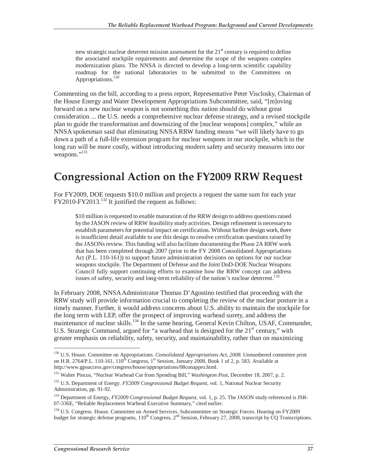new strategic nuclear deterrent mission assessment for the  $21<sup>st</sup>$  century is required to define the associated stockpile requirements and determine the scope of the weapons complex modernization plans. The NNSA is directed to develop a long-term scientific capability roadmap for the national laboratories to be submitted to the Committees on Appropriations.<sup>130</sup>

Commenting on the bill, according to a press report, Representative Peter Visclosky, Chairman of the House Energy and Water Development Appropriations Subcommittee, said, "[m]oving forward on a new nuclear weapon is not something this nation should do without great consideration ... the U.S. needs a comprehensive nuclear defense strategy, and a revised stockpile plan to guide the transformation and downsizing of the [nuclear weapons] complex," while an NNSA spokesman said that eliminating NNSA RRW funding means "we will likely have to go down a path of a full-life extension program for nuclear weapons in our stockpile, which in the long run will be more costly, without introducing modern safety and security measures into our weapons."<sup>131</sup>

## **Congressional Action on the FY2009 RRW Request**

For FY2009, DOE requests \$10.0 million and projects a request the same sum for each year FY2010-FY2013.132 It justified the request as follows:

\$10 million is requested to enable maturation of the RRW design to address questions raised by the JASON review of RRW feasibility study activities. Design refinement is necessary to establish parameters for potential impact on certification. Without further design work, there is insufficient detail available to use this design to resolve certification questions raised by the JASONs review. This funding will also facilitate documenting the Phase 2A RRW work that has been completed through 2007 (prior to the FY 2008 Consolidated Appropriations Act (P.L. 110-161)) to support future administration decisions on options for our nuclear weapons stockpile. The Department of Defense and the Joint DoD-DOE Nuclear Weapons Council fully support continuing efforts to examine how the RRW concept can address issues of safety, security and long-term reliability of the nation's nuclear deterrent.<sup>133</sup>

In February 2008, NNSA Administrator Thomas D'Agostino testified that proceeding with the RRW study will provide information crucial to completing the review of the nuclear posture in a timely manner. Further, it would address concerns about U.S. ability to maintain the stockpile for the long term with LEP, offer the prospect of improving warhead surety, and address the maintenance of nuclear skills.<sup>134</sup> In the same hearing, General Kevin Chilton, USAF, Commander, U.S. Strategic Command, argued for "a warhead that is designed for the  $21<sup>st</sup>$  century," with greater emphasis on reliability, safety, security, and maintainability, rather than on maximizing

<sup>-</sup>130 U.S. House. Committee on Appropriations. *Consolidated Appropriations Act, 2008.* Unnumbered committee print on H.R. 2764/P.L. 110-161,  $110^{th}$  Congress,  $1^{st}$  Session, January 2008, Book 1 of 2, p. 583. Available at http://www.gpoaccess.gov/congress/house/appropriations/08conappro.html.

<sup>131</sup> Walter Pincus, "Nuclear Warhead Cut from Spending Bill," *Washington Post,* December 18, 2007, p. 2.

<sup>132</sup> U.S. Department of Energy. *FY2009 Congressional Budget Request,* vol. 1, National Nuclear Security Administration, pp. 91-92.

<sup>133</sup> Department of Energy, *FY2009 Congressional Budget Request*, vol. 1, p. 25. The JASON study referenced is JSR-07-336E, "Reliable Replacement Warhead Executive Summary," cited earlier.

<sup>&</sup>lt;sup>134</sup> U.S. Congress. House. Committee on Armed Services. Subcommittee on Strategic Forces. Hearing on FY2009 budget for strategic defense programs,  $110^{th}$  Congress,  $2^{nd}$  Session, February 27, 2008, transcript by  $\overline{CQ}$  Transcriptions.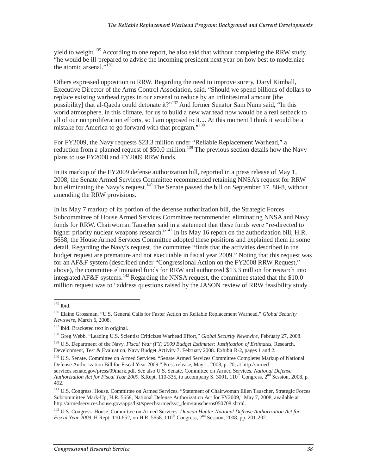yield to weight.<sup>135</sup> According to one report, he also said that without completing the RRW study "he would be ill-prepared to advise the incoming president next year on how best to modernize the atomic arsenal."<sup>136</sup>

Others expressed opposition to RRW. Regarding the need to improve surety, Daryl Kimball, Executive Director of the Arms Control Association, said, "Should we spend billions of dollars to replace existing warhead types in our arsenal to reduce by an infinitesimal amount [the possibility] that al-Qaeda could detonate it?"137 And former Senator Sam Nunn said, "In this world atmosphere, in this climate, for us to build a new warhead now would be a real setback to all of our nonproliferation efforts, so I am opposed to it.... At this moment I think it would be a mistake for America to go forward with that program."<sup>138</sup>

For FY2009, the Navy requests \$23.3 million under "Reliable Replacement Warhead," a reduction from a planned request of \$50.0 million.<sup>139</sup> The previous section details how the Navy plans to use FY2008 and FY2009 RRW funds.

In its markup of the FY2009 defense authorization bill, reported in a press release of May 1, 2008, the Senate Armed Services Committee recommended retaining NNSA's request for RRW but eliminating the Navy's request.<sup>140</sup> The Senate passed the bill on September 17, 88-8, without amending the RRW provisions.

In its May 7 markup of its portion of the defense authorization bill, the Strategic Forces Subcommittee of House Armed Services Committee recommended eliminating NNSA and Navy funds for RRW. Chairwoman Tauscher said in a statement that these funds were "re-directed to higher priority nuclear weapons research."<sup>141</sup> In its May 16 report on the authorization bill, H.R. 5658, the House Armed Services Committee adopted these positions and explained them in some detail. Regarding the Navy's request, the committee "finds that the activities described in the budget request are premature and not executable in fiscal year 2009." Noting that this request was for an AF&F system (described under "Congressional Action on the FY2008 RRW Request," above), the committee eliminated funds for RRW and authorized \$13.3 million for research into integrated AF&F systems.<sup>142</sup> Regarding the NNSA request, the committee stated that the \$10.0 million request was to "address questions raised by the JASON review of RRW feasibility study

<sup>-</sup> $135$  Ibid.

<sup>136</sup> Elaine Grossman, "U.S. General Calls for Faster Action on Reliable Replacement Warhead," *Global Security Newswire,* March 6, 2008.

<sup>&</sup>lt;sup>137</sup> Ibid. Bracketed text in original.

<sup>138</sup> Greg Webb, "Leading U.S. Scientist Criticizes Warhead Effort," *Global Security Newswire,* February 27, 2008.

<sup>139</sup> U.S. Department of the Navy. *Fiscal Year (FY) 2009 Budget Estimates: Justification of Estimates.* Research, Development, Test & Evaluation, Navy Budget Activity 7. February 2008. Exhibit R-2, pages 1 and 2.

<sup>&</sup>lt;sup>140</sup> U.S. Senate. Committee on Armed Services. "Senate Armed Services Committee Completes Markup of National Defense Authorization Bill for Fiscal Year 2009." Press release, May 1, 2008, p. 20, at http://armedservices.senate.gov/press/09mark.pdf. See also U.S. Senate. Committee on Armed Services. *National Defense Authorization Act for Fiscal Year 2009.* S.Rept. 110-335, to accompany S. 3001, 110<sup>th</sup> Congress, 2<sup>nd</sup> Session, 2008, p. 492.

<sup>&</sup>lt;sup>141</sup> U.S. Congress. House. Committee on Armed Services. "Statement of Chairwoman Ellen Tauscher, Strategic Forces Subcommittee Mark-Up, H.R. 5658, National Defense Authorization Act for FY2009," May 7, 2008, available at http://armedservices.house.gov/apps/list/speech/armedsvc\_dem/tauscheros050708.shtml.

<sup>142</sup> U.S. Congress. House. Committee on Armed Services. *Duncan Hunter National Defense Authorization Act for Fiscal Year 2009.* H.Rept. 110-652, on H.R. 5658. 110<sup>th</sup> Congress, 2<sup>nd</sup> Session, 2008, pp. 201-202.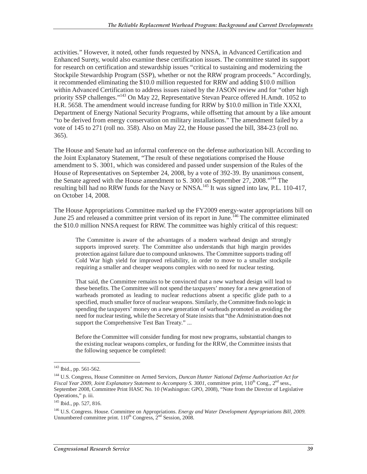activities." However, it noted, other funds requested by NNSA, in Advanced Certification and Enhanced Surety, would also examine these certification issues. The committee stated its support for research on certification and stewardship issues "critical to sustaining and modernizing the Stockpile Stewardship Program (SSP), whether or not the RRW program proceeds." Accordingly, it recommended eliminating the \$10.0 million requested for RRW and adding \$10.0 million within Advanced Certification to address issues raised by the JASON review and for "other high priority SSP challenges."<sup>143</sup> On May 22, Representative Stevan Pearce offered H.Amdt. 1052 to H.R. 5658. The amendment would increase funding for RRW by \$10.0 million in Title XXXI, Department of Energy National Security Programs, while offsetting that amount by a like amount "to be derived from energy conservation on military installations." The amendment failed by a vote of 145 to 271 (roll no. 358). Also on May 22, the House passed the bill, 384-23 (roll no. 365).

The House and Senate had an informal conference on the defense authorization bill. According to the Joint Explanatory Statement, "The result of these negotiations comprised the House amendment to S. 3001, which was considered and passed under suspension of the Rules of the House of Representatives on September 24, 2008, by a vote of 392-39. By unanimous consent, the Senate agreed with the House amendment to S. 3001 on September 27, 2008."<sup>144</sup> The resulting bill had no RRW funds for the Navy or NNSA.<sup>145</sup> It was signed into law, P.L. 110-417, on October 14, 2008.

The House Appropriations Committee marked up the FY2009 energy-water appropriations bill on June 25 and released a committee print version of its report in June.<sup>146</sup> The committee eliminated the \$10.0 million NNSA request for RRW. The committee was highly critical of this request:

The Committee is aware of the advantages of a modern warhead design and strongly supports improved surety. The Committee also understands that high margin provides protection against failure due to compound unknowns. The Committee supports trading off Cold War high yield for improved reliability, in order to move to a smaller stockpile requiring a smaller and cheaper weapons complex with no need for nuclear testing.

That said, the Committee remains to be convinced that a new warhead design will lead to these benefits. The Committee will not spend the taxpayers' money for a new generation of warheads promoted as leading to nuclear reductions absent a specific glide path to a specified, much smaller force of nuclear weapons. Similarly, the Committee finds no logic in spending the taxpayers' money on a new generation of warheads promoted as avoiding the need for nuclear testing, while the Secretary of State insists that "the Administration does not support the Comprehensive Test Ban Treaty." ...

Before the Committee will consider funding for most new programs, substantial changes to the existing nuclear weapons complex, or funding for the RRW, the Committee insists that the following sequence be completed:

 $\overline{a}$ 

<sup>&</sup>lt;sup>143</sup> Ibid., pp. 561-562.

<sup>&</sup>lt;sup>144</sup> U.S. Congress, House Committee on Armed Services, *Duncan Hunter National Defense Authorization Act for Fiscal Year 2009, Joint Explanatory Statement to Accompany S. 3001*, committee print, 110<sup>th</sup> Cong., 2<sup>nd</sup> sess., September 2008, Committee Print HASC No. 10 (Washington: GPO, 2008), "Note from the Director of Legislative Operations," p. iii.

<sup>145</sup> Ibid., pp. 527, 816.

<sup>146</sup> U.S. Congress. House. Committee on Appropriations. *Energy and Water Development Appropriations Bill, 2009.* Unnumbered committee print.  $110^{th}$  Congress,  $2^{nd}$  Session, 2008.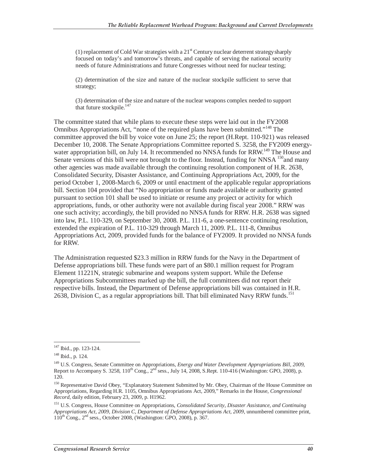(1) replacement of Cold War strategies with a  $21<sup>st</sup>$  Century nuclear deterrent strategy sharply focused on today's and tomorrow's threats, and capable of serving the national security needs of future Administrations and future Congresses without need for nuclear testing;

(2) determination of the size and nature of the nuclear stockpile sufficient to serve that strategy;

(3) determination of the size and nature of the nuclear weapons complex needed to support that future stockpile. $147$ 

The committee stated that while plans to execute these steps were laid out in the FY2008 Omnibus Appropriations Act, "none of the required plans have been submitted."148 The committee approved the bill by voice vote on June 25; the report (H.Rept. 110-921) was released December 10, 2008. The Senate Appropriations Committee reported S. 3258, the FY2009 energywater appropriation bill, on July 14. It recommended no NNSA funds for RRW.<sup>149</sup> The House and Senate versions of this bill were not brought to the floor. Instead, funding for NNSA  $150$  and many other agencies was made available through the continuing resolution component of H.R. 2638, Consolidated Security, Disaster Assistance, and Continuing Appropriations Act, 2009, for the period October 1, 2008-March 6, 2009 or until enactment of the applicable regular appropriations bill. Section 104 provided that "No appropriation or funds made available or authority granted pursuant to section 101 shall be used to initiate or resume any project or activity for which appropriations, funds, or other authority were not available during fiscal year 2008." RRW was one such activity; accordingly, the bill provided no NNSA funds for RRW. H.R. 2638 was signed into law, P.L. 110-329, on September 30, 2008. P.L. 111-6, a one-sentence continuing resolution, extended the expiration of P.L. 110-329 through March 11, 2009. P.L. 111-8, Omnibus Appropriations Act, 2009, provided funds for the balance of FY2009. It provided no NNSA funds for RRW.

The Administration requested \$23.3 million in RRW funds for the Navy in the Department of Defense appropriations bill. These funds were part of an \$80.1 million request for Program Element 11221N, strategic submarine and weapons system support. While the Defense Appropriations Subcommittees marked up the bill, the full committees did not report their respective bills. Instead, the Department of Defense appropriations bill was contained in H.R. 2638, Division C, as a regular appropriations bill. That bill eliminated Navy RRW funds.<sup>151</sup>

<sup>-</sup><sup>147</sup> Ibid., pp. 123-124.

<sup>148</sup> Ibid., p. 124.

<sup>149</sup> U.S. Congress, Senate Committee on Appropriations, *Energy and Water Development Appropriations Bill, 2009*, Report to Accompany S. 3258,  $110^{th}$  Cong.,  $2^{nd}$  sess., July 14, 2008, S.Rept. 110-416 (Washington: GPO, 2008), p. 120.

<sup>&</sup>lt;sup>150</sup> Representative David Obey, "Explanatory Statement Submitted by Mr. Obey, Chairman of the House Committee on Appropriations, Regarding H.R. 1105, Omnibus Appropriations Act, 2009," Remarks in the House, *Congressional Record*, daily edition, February 23, 2009, p. H1962.

<sup>151</sup> U.S. Congress, House Committee on Appropriations, *Consolidated Security, Disaster Assistance, and Continuing Appropriations Act, 2009, Division C, Department of Defense Appropriations Act, 2009*, unnumbered committee print,  $110^{th}$  Cong.,  $2^{nd}$  sess., October 2008, (Washington: GPO, 2008), p. 367.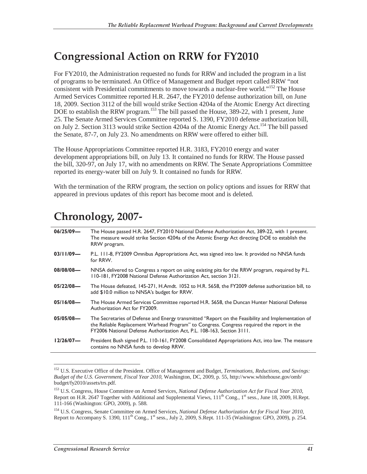## **Congressional Action on RRW for FY2010**

For FY2010, the Administration requested no funds for RRW and included the program in a list of programs to be terminated. An Office of Management and Budget report called RRW "not consistent with Presidential commitments to move towards a nuclear-free world."152 The House Armed Services Committee reported H.R. 2647, the FY2010 defense authorization bill, on June 18, 2009. Section 3112 of the bill would strike Section 4204a of the Atomic Energy Act directing DOE to establish the RRW program.<sup>153</sup> The bill passed the House, 389-22, with 1 present, June 25. The Senate Armed Services Committee reported S. 1390, FY2010 defense authorization bill, on July 2. Section 3113 would strike Section 4204a of the Atomic Energy Act.<sup>154</sup> The bill passed the Senate, 87-7, on July 23. No amendments on RRW were offered to either bill.

The House Appropriations Committee reported H.R. 3183, FY2010 energy and water development appropriations bill, on July 13. It contained no funds for RRW. The House passed the bill, 320-97, on July 17, with no amendments on RRW. The Senate Appropriations Committee reported its energy-water bill on July 9. It contained no funds for RRW.

With the termination of the RRW program, the section on policy options and issues for RRW that appeared in previous updates of this report has become moot and is deleted.

## **Chronology, 2007-**

| $06/25/09$ — | The House passed H.R. 2647, FY2010 National Defense Authorization Act, 389-22, with 1 present.<br>The measure would strike Section 4204a of the Atomic Energy Act directing DOE to establish the<br>RRW program.                                                           |
|--------------|----------------------------------------------------------------------------------------------------------------------------------------------------------------------------------------------------------------------------------------------------------------------------|
| $03/11/09$ — | P.L. 111-8, FY2009 Omnibus Appropriations Act, was signed into law. It provided no NNSA funds<br>for RRW.                                                                                                                                                                  |
| $08/08/08$ — | NNSA delivered to Congress a report on using existing pits for the RRW program, required by P.L.<br>110-181, FY2008 National Defense Authorization Act, section 3121.                                                                                                      |
| $05/22/08$ — | The House defeated, 145-271, H.Amdt. 1052 to H.R. 5658, the FY2009 defense authorization bill, to<br>add \$10.0 million to NNSA's budget for RRW.                                                                                                                          |
| $05/16/08$ — | The House Armed Services Committee reported H.R. 5658, the Duncan Hunter National Defense<br>Authorization Act for FY2009.                                                                                                                                                 |
| $05/05/08$ — | The Secretaries of Defense and Energy transmitted "Report on the Feasibility and Implementation of<br>the Reliable Replacement Warhead Program" to Congress. Congress required the report in the<br>FY2006 National Defense Authorization Act, P.L. 108-163, Section 3111. |
| 12/26/07     | President Bush signed P.L. 110-161, FY2008 Consolidated Appropriations Act, into law. The measure<br>contains no NNSA funds to develop RRW.                                                                                                                                |

<sup>-</sup>152 U.S. Executive Office of the President. Office of Management and Budget, *Terminations, Reductions, and Savings: Budget of the U.S. Government, Fiscal Year 2010*, Washington, DC, 2009, p. 55, http://www.whitehouse.gov/omb/ budget/fy2010/assets/trs.pdf.

<sup>153</sup> U.S. Congress, House Committee on Armed Services, *National Defense Authorization Act for Fiscal Year 2010*, Report on H.R. 2647 Together with Additional and Supplemental Views,  $111^{th}$  Cong.,  $1^{st}$  sess., June 18, 2009, H.Rept. 111-166 (Washington: GPO, 2009), p. 588.

<sup>154</sup> U.S. Congress, Senate Committee on Armed Services, *National Defense Authorization Act for Fiscal Year 2010*, Report to Accompany S. 1390,  $111<sup>th</sup>$  Cong.,  $1<sup>st</sup>$  sess., July 2, 2009, S.Rept. 111-35 (Washington: GPO, 2009), p. 254.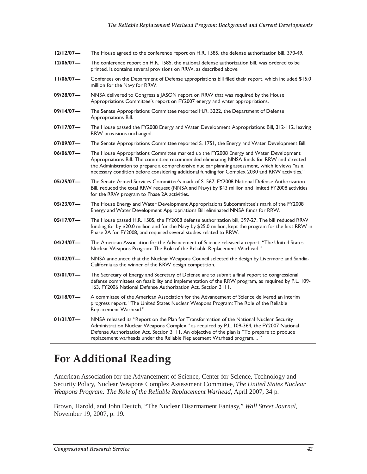| 12/12/07     | The House agreed to the conference report on H.R. 1585, the defense authorization bill, 370-49.                                                                                                                                                                                                                                                                                          |
|--------------|------------------------------------------------------------------------------------------------------------------------------------------------------------------------------------------------------------------------------------------------------------------------------------------------------------------------------------------------------------------------------------------|
| $12/06/07$ — | The conference report on H.R. 1585, the national defense authorization bill, was ordered to be<br>printed. It contains several provisions on RRW, as described above.                                                                                                                                                                                                                    |
| 11/06/07     | Conferees on the Department of Defense appropriations bill filed their report, which included \$15.0<br>million for the Navy for RRW.                                                                                                                                                                                                                                                    |
| 09/28/07-    | NNSA delivered to Congress a JASON report on RRW that was required by the House<br>Appropriations Committee's report on FY2007 energy and water appropriations.                                                                                                                                                                                                                          |
| $09/14/07$ — | The Senate Appropriations Committee reported H.R. 3222, the Department of Defense<br>Appropriations Bill.                                                                                                                                                                                                                                                                                |
| $07/17/07$ — | The House passed the FY2008 Energy and Water Development Appropriations Bill, 312-112, leaving<br>RRW provisions unchanged.                                                                                                                                                                                                                                                              |
| 07/09/07—    | The Senate Appropriations Committee reported S. 1751, the Energy and Water Development Bill.                                                                                                                                                                                                                                                                                             |
| $06/06/07$ — | The House Appropriations Committee marked up the FY2008 Energy and Water Development<br>Appropriations Bill. The committee recommended eliminating NNSA funds for RRW and directed<br>the Administration to prepare a comprehensive nuclear planning assessment, which it views "as a<br>necessary condition before considering additional funding for Complex 2030 and RRW activities." |
| $05/25/07$ — | The Senate Armed Services Committee's mark of S. 567, FY2008 National Defense Authorization<br>Bill, reduced the total RRW request (NNSA and Navy) by \$43 million and limited FY2008 activities<br>for the RRW program to Phase 2A activities.                                                                                                                                          |
| 05/23/07—    | The House Energy and Water Development Appropriations Subcommittee's mark of the FY2008<br>Energy and Water Development Appropriations Bill eliminated NNSA funds for RRW.                                                                                                                                                                                                               |
| $05/17/07$ — | The House passed H.R. 1585, the FY2008 defense authorization bill, 397-27. The bill reduced RRW<br>funding for by \$20.0 million and for the Navy by \$25.0 million, kept the program for the first RRW in<br>Phase 2A for FY2008, and required several studies related to RRW.                                                                                                          |
| 04/24/07-    | The American Association for the Advancement of Science released a report, "The United States<br>Nuclear Weapons Program: The Role of the Reliable Replacement Warhead."                                                                                                                                                                                                                 |
| 03/02/07-    | NNSA announced that the Nuclear Weapons Council selected the design by Livermore and Sandia-<br>California as the winner of the RRW design competition.                                                                                                                                                                                                                                  |
| $03/01/07$ — | The Secretary of Energy and Secretary of Defense are to submit a final report to congressional<br>defense committees on feasibility and implementation of the RRW program, as required by P.L. 109-<br>163, FY2006 National Defense Authorization Act, Section 3111.                                                                                                                     |
| $02/18/07$ — | A committee of the American Association for the Advancement of Science delivered an interim<br>progress report, "The United States Nuclear Weapons Program: The Role of the Reliable<br>Replacement Warhead."                                                                                                                                                                            |
| $01/31/07$ — | NNSA released its "Report on the Plan for Transformation of the National Nuclear Security<br>Administration Nuclear Weapons Complex," as required by P.L. 109-364, the FY2007 National<br>Defense Authorization Act, Section 3111. An objective of the plan is "To prepare to produce<br>replacement warheads under the Reliable Replacement Warhead program                             |

## **For Additional Reading**

American Association for the Advancement of Science, Center for Science, Technology and Security Policy, Nuclear Weapons Complex Assessment Committee, *The United States Nuclear Weapons Program: The Role of the Reliable Replacement Warhead,* April 2007, 34 p.

Brown, Harold, and John Deutch, "The Nuclear Disarmament Fantasy," *Wall Street Journal,* November 19, 2007, p. 19.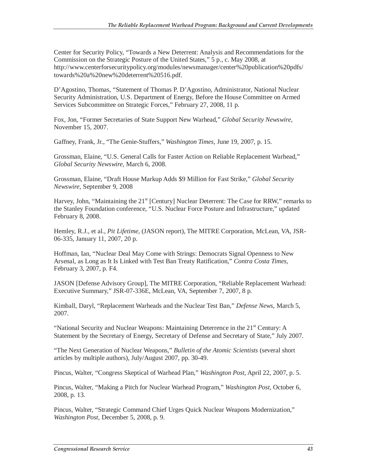Center for Security Policy, "Towards a New Deterrent: Analysis and Recommendations for the Commission on the Strategic Posture of the United States," 5 p., c. May 2008, at http://www.centerforsecuritypolicy.org/modules/newsmanager/center%20publication%20pdfs/ towards%20a%20new%20deterrent%20516.pdf.

D'Agostino, Thomas, "Statement of Thomas P. D'Agostino, Administrator, National Nuclear Security Administration, U.S. Department of Energy, Before the House Committee on Armed Services Subcommittee on Strategic Forces," February 27, 2008, 11 p.

Fox, Jon, "Former Secretaries of State Support New Warhead," *Global Security Newswire,* November 15, 2007.

Gaffney, Frank, Jr., "The Genie-Stuffers," *Washington Times,* June 19, 2007, p. 15.

Grossman, Elaine, "U.S. General Calls for Faster Action on Reliable Replacement Warhead," *Global Security Newswire,* March 6, 2008.

Grossman, Elaine, "Draft House Markup Adds \$9 Million for Fast Strike," *Global Security Newswire,* September 9, 2008

Harvey, John, "Maintaining the  $21<sup>st</sup>$  [Century] Nuclear Deterrent: The Case for RRW," remarks to the Stanley Foundation conference, "U.S. Nuclear Force Posture and Infrastructure," updated February 8, 2008.

Hemley, R.J., et al., *Pit Lifetime,* (JASON report), The MITRE Corporation, McLean, VA, JSR-06-335, January 11, 2007, 20 p.

Hoffman, Ian, "Nuclear Deal May Come with Strings: Democrats Signal Openness to New Arsenal, as Long as It Is Linked with Test Ban Treaty Ratification," *Contra Costa Times,* February 3, 2007, p. F4.

JASON [Defense Advisory Group], The MITRE Corporation, "Reliable Replacement Warhead: Executive Summary," JSR-07-336E, McLean, VA, September 7, 2007, 8 p.

Kimball, Daryl, "Replacement Warheads and the Nuclear Test Ban," *Defense News,* March 5, 2007.

"National Security and Nuclear Weapons: Maintaining Deterrence in the 21<sup>st</sup> Century: A Statement by the Secretary of Energy, Secretary of Defense and Secretary of State," July 2007.

"The Next Generation of Nuclear Weapons," *Bulletin of the Atomic Scientists* (several short articles by multiple authors), July/August 2007, pp. 30-49.

Pincus, Walter, "Congress Skeptical of Warhead Plan," *Washington Post,* April 22, 2007, p. 5.

Pincus, Walter, "Making a Pitch for Nuclear Warhead Program," *Washington Post,* October 6, 2008, p. 13.

Pincus, Walter, "Strategic Command Chief Urges Quick Nuclear Weapons Modernization," *Washington Post,* December 5, 2008, p. 9.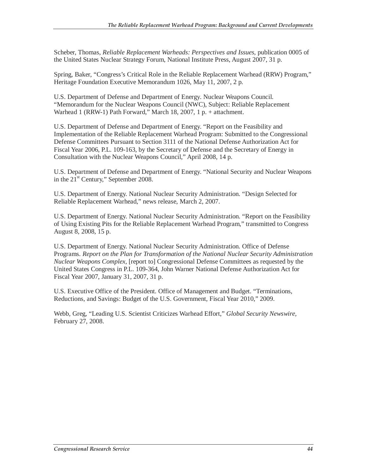Scheber, Thomas, *Reliable Replacement Warheads: Perspectives and Issues,* publication 0005 of the United States Nuclear Strategy Forum, National Institute Press, August 2007, 31 p.

Spring, Baker, "Congress's Critical Role in the Reliable Replacement Warhead (RRW) Program," Heritage Foundation Executive Memorandum 1026, May 11, 2007, 2 p.

U.S. Department of Defense and Department of Energy. Nuclear Weapons Council. "Memorandum for the Nuclear Weapons Council (NWC), Subject: Reliable Replacement Warhead 1 (RRW-1) Path Forward," March 18, 2007, 1 p. + attachment.

U.S. Department of Defense and Department of Energy. "Report on the Feasibility and Implementation of the Reliable Replacement Warhead Program: Submitted to the Congressional Defense Committees Pursuant to Section 3111 of the National Defense Authorization Act for Fiscal Year 2006, P.L. 109-163, by the Secretary of Defense and the Secretary of Energy in Consultation with the Nuclear Weapons Council," April 2008, 14 p.

U.S. Department of Defense and Department of Energy. "National Security and Nuclear Weapons in the  $21<sup>st</sup>$  Century," September 2008.

U.S. Department of Energy. National Nuclear Security Administration. "Design Selected for Reliable Replacement Warhead," news release, March 2, 2007.

U.S. Department of Energy. National Nuclear Security Administration. "Report on the Feasibility of Using Existing Pits for the Reliable Replacement Warhead Program," transmitted to Congress August 8, 2008, 15 p.

U.S. Department of Energy. National Nuclear Security Administration. Office of Defense Programs. *Report on the Plan for Transformation of the National Nuclear Security Administration Nuclear Weapons Complex,* [report to] Congressional Defense Committees as requested by the United States Congress in P.L. 109-364, John Warner National Defense Authorization Act for Fiscal Year 2007, January 31, 2007, 31 p.

U.S. Executive Office of the President. Office of Management and Budget. "Terminations, Reductions, and Savings: Budget of the U.S. Government, Fiscal Year 2010," 2009.

Webb, Greg, "Leading U.S. Scientist Criticizes Warhead Effort," *Global Security Newswire,* February 27, 2008.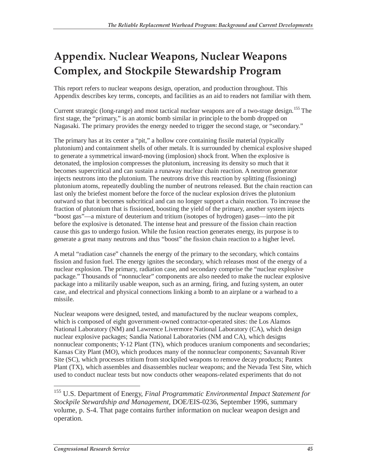## **Appendix. Nuclear Weapons, Nuclear Weapons Complex, and Stockpile Stewardship Program**

This report refers to nuclear weapons design, operation, and production throughout. This Appendix describes key terms, concepts, and facilities as an aid to readers not familiar with them.

Current strategic (long-range) and most tactical nuclear weapons are of a two-stage design.<sup>155</sup> The first stage, the "primary," is an atomic bomb similar in principle to the bomb dropped on Nagasaki. The primary provides the energy needed to trigger the second stage, or "secondary."

The primary has at its center a "pit," a hollow core containing fissile material (typically plutonium) and containment shells of other metals. It is surrounded by chemical explosive shaped to generate a symmetrical inward-moving (implosion) shock front. When the explosive is detonated, the implosion compresses the plutonium, increasing its density so much that it becomes supercritical and can sustain a runaway nuclear chain reaction. A neutron generator injects neutrons into the plutonium. The neutrons drive this reaction by splitting (fissioning) plutonium atoms, repeatedly doubling the number of neutrons released. But the chain reaction can last only the briefest moment before the force of the nuclear explosion drives the plutonium outward so that it becomes subcritical and can no longer support a chain reaction. To increase the fraction of plutonium that is fissioned, boosting the yield of the primary, another system injects "boost gas"—a mixture of deuterium and tritium (isotopes of hydrogen) gases—into the pit before the explosive is detonated. The intense heat and pressure of the fission chain reaction cause this gas to undergo fusion. While the fusion reaction generates energy, its purpose is to generate a great many neutrons and thus "boost" the fission chain reaction to a higher level.

A metal "radiation case" channels the energy of the primary to the secondary, which contains fission and fusion fuel. The energy ignites the secondary, which releases most of the energy of a nuclear explosion. The primary, radiation case, and secondary comprise the "nuclear explosive package." Thousands of "nonnuclear" components are also needed to make the nuclear explosive package into a militarily usable weapon, such as an arming, firing, and fuzing system, an outer case, and electrical and physical connections linking a bomb to an airplane or a warhead to a missile.

Nuclear weapons were designed, tested, and manufactured by the nuclear weapons complex, which is composed of eight government-owned contractor-operated sites: the Los Alamos National Laboratory (NM) and Lawrence Livermore National Laboratory (CA), which design nuclear explosive packages; Sandia National Laboratories (NM and CA), which designs nonnuclear components; Y-12 Plant (TN), which produces uranium components and secondaries; Kansas City Plant (MO), which produces many of the nonnuclear components; Savannah River Site (SC), which processes tritium from stockpiled weapons to remove decay products; Pantex Plant (TX), which assembles and disassembles nuclear weapons; and the Nevada Test Site, which used to conduct nuclear tests but now conducts other weapons-related experiments that do not

<sup>155</sup> U.S. Department of Energy, *Final Programmatic Environmental Impact Statement for Stockpile Stewardship and Management,* DOE/EIS-0236, September 1996, summary volume, p. S-4. That page contains further information on nuclear weapon design and operation.